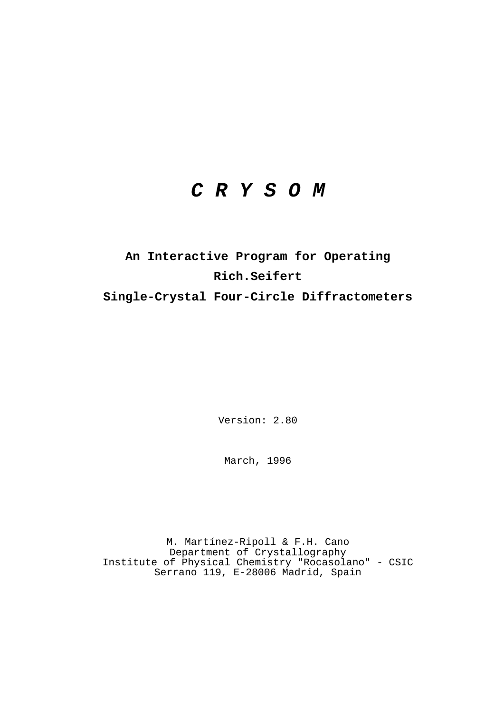# *C R Y S O M*

# **An Interactive Program for Operating Rich.Seifert Single-Crystal Four-Circle Diffractometers**

Version: 2.80

March, 1996

M. Martínez-Ripoll & F.H. Cano Department of Crystallography Institute of Physical Chemistry "Rocasolano" - CSIC Serrano 119, E-28006 Madrid, Spain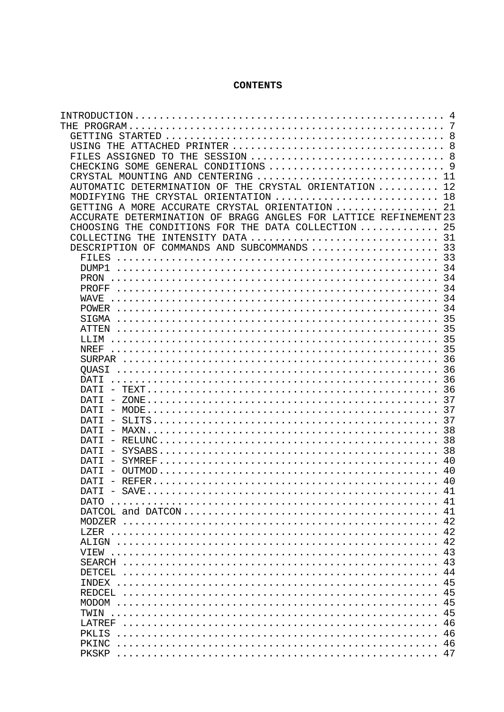## **CONTENTS**

|                                                                            | 4   |
|----------------------------------------------------------------------------|-----|
| THE.                                                                       | 7   |
|                                                                            | 8   |
| USING<br>THE.                                                              |     |
| FILES ASSIGNED<br>SESSION  8<br>THE<br>TО                                  |     |
| CONDITIONS<br>CHECKING SOME<br>GENERAL                                     | - 9 |
| CRYSTAL<br>MOUNTING<br>CENTERING<br>AND                                    | 11  |
| THE CRYSTAL ORIENTATION<br>DETERMINATION OF<br>AUTOMATIC                   | 12  |
| MODIFYING<br><b>THE</b><br>CRYSTAL ORIENTATION                             | 18  |
| ORIENTATION<br>A MORE ACCURATE<br>CRYSTAL<br>GETTING                       | 21  |
| DETERMINATION OF BRAGG ANGLES FOR LATTICE REFINEMENT 23<br><b>ACCURATE</b> |     |
| CONDITIONS<br>FOR THE<br>DATA COLLECTION<br>CHOOSING THE                   | 25  |
| INTENSITY DATA<br>COLLECTING<br>THE.                                       | 31  |
| COMMANDS AND SUBCOMMANDS<br>DESCRIPTION OF                                 | 33  |
| FILES                                                                      | 33  |
|                                                                            |     |
| DUMP1                                                                      | 34  |
| PRON                                                                       | 34  |
| PROFF                                                                      | 34  |
| WAVE                                                                       | 34  |
|                                                                            | 34  |
| SIGMA                                                                      | 35  |
| ATTEN                                                                      | 35  |
| LLIM                                                                       | 35  |
| NREF                                                                       | 35  |
|                                                                            | 36  |
| OUASI                                                                      | 36  |
| DATI                                                                       | 36  |
| DATT                                                                       | -36 |
| DATT                                                                       | 37  |
| DATT                                                                       | 37  |
| DATT                                                                       | 37  |
| DATT                                                                       | 38  |
| DATT                                                                       | 38  |
| DATT                                                                       | 38  |
| DATT                                                                       | 40  |
| <b>DATT</b>                                                                | 40  |
| DATT                                                                       | 40  |
| DATI<br>SAVE                                                               | 41  |
| DATO                                                                       | 41  |
|                                                                            | 41  |
| <b>MODZER</b>                                                              | 42  |
| LZER                                                                       | 42  |
|                                                                            | 42  |
| ALIGN                                                                      | 43  |
| VTEW                                                                       |     |
| <b>SEARCH</b>                                                              | 43  |
| <b>DETCEL</b>                                                              | 44  |
| INDEX                                                                      | 45  |
| <b>REDCEL</b>                                                              | 45  |
| <b>MODOM</b>                                                               | 45  |
| TWIN                                                                       | 45  |
| LATREF                                                                     | 46  |
| PKLIS                                                                      | 46  |
| PKINC                                                                      | 46  |
| PKSKP                                                                      | 47  |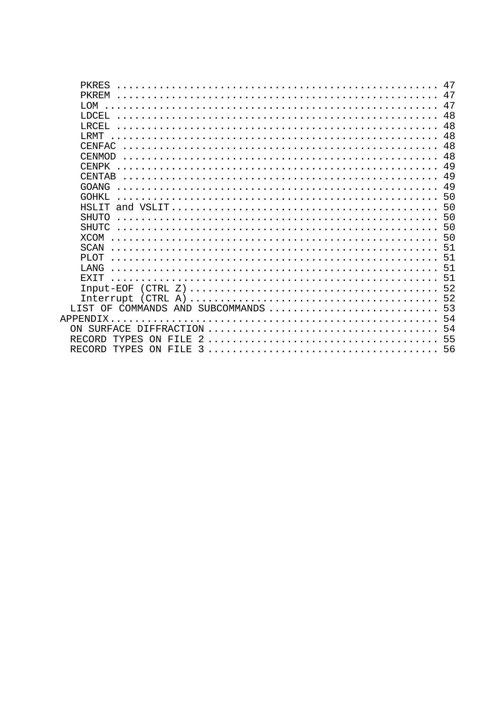| <b>PKRES</b>                         | 47  |
|--------------------------------------|-----|
| <b>PKREM</b>                         | 47  |
| <b>MO<sub>'</sub>T</b>               |     |
| LDCEL.                               |     |
| LRCEL.                               | 48  |
| <b>T.RMT</b>                         | 48  |
| CENFAC                               |     |
| <b>CENMOD</b>                        |     |
| CENPK                                | 49  |
| CENTAR                               | 49  |
| GOANG                                |     |
| GOHKI,                               |     |
|                                      |     |
| <b>SHUTO</b>                         |     |
| <b>SHUTC</b>                         |     |
| <b>XCOM</b>                          |     |
| SCAN                                 |     |
| PT.OT                                |     |
| <b>T.ANG</b>                         |     |
| <b>EXTT</b>                          |     |
|                                      |     |
|                                      |     |
| LIST OF COMMANDS AND SUBCOMMANDS  53 |     |
|                                      |     |
|                                      | -54 |
| <b>RECORD</b>                        |     |
| <b>RECORD</b>                        |     |
|                                      |     |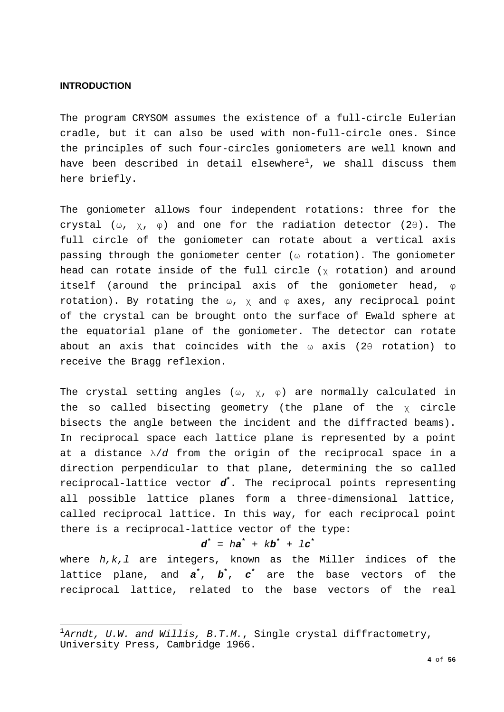## <span id="page-3-0"></span>**INTRODUCTION**

The program CRYSOM assumes the existence of a full-circle Eulerian cradle, but it can also be used with non-full-circle ones. Since the principles of such four-circles goniometers are well known and have been described in detail elsewhere $^1$  $^1$ , we shall discuss them here briefly.

The goniometer allows four independent rotations: three for the crystal (ω,  $\chi$ ,  $\varphi$ ) and one for the radiation detector (2θ). The full circle of the goniometer can rotate about a vertical axis passing through the goniometer center (ω rotation). The goniometer head can rotate inside of the full circle (χ rotation) and around itself (around the principal axis of the goniometer head, φ rotation). By rotating the  $\omega$ ,  $\chi$  and  $\varphi$  axes, any reciprocal point of the crystal can be brought onto the surface of Ewald sphere at the equatorial plane of the goniometer. The detector can rotate about an axis that coincides with the ω axis (2θ rotation) to receive the Bragg reflexion.

The crystal setting angles ( $\omega$ ,  $\chi$ ,  $\varphi$ ) are normally calculated in the so called bisecting geometry (the plane of the χ circle bisects the angle between the incident and the diffracted beams). In reciprocal space each lattice plane is represented by a point at a distance λ/*d* from the origin of the reciprocal space in a direction perpendicular to that plane, determining the so called reciprocal-lattice vector *d***\*** . The reciprocal points representing all possible lattice planes form a three-dimensional lattice, called reciprocal lattice. In this way, for each reciprocal point there is a reciprocal-lattice vector of the type:

## $d^* = ha^* + kb^* + lc^*$

where *h,k,l* are integers, known as the Miller indices of the lattice plane, and *a***\*** , *b***\*** , *c***\*** are the base vectors of the reciprocal lattice, related to the base vectors of the real

<span id="page-3-1"></span> 1 *Arndt, U.W. and Willis, B.T.M.*, Single crystal diffractometry, University Press, Cambridge 1966.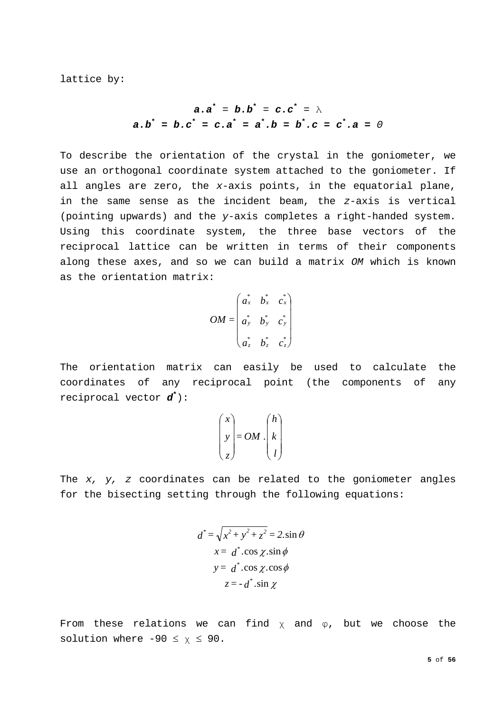lattice by:

$$
a.a^* = b.b^* = c.c^* = \lambda
$$
  
 $a.b^* = b.c^* = c.a^* = a^*.b = b^*.c = c^*.a = 0$ 

To describe the orientation of the crystal in the goniometer, we use an orthogonal coordinate system attached to the goniometer. If all angles are zero, the *x*-axis points, in the equatorial plane, in the same sense as the incident beam, the *z*-axis is vertical (pointing upwards) and the *y*-axis completes a right-handed system. Using this coordinate system, the three base vectors of the reciprocal lattice can be written in terms of their components along these axes, and so we can build a matrix *OM* which is known as the orientation matrix:

$$
OM = \begin{pmatrix} a_x^* & b_x^* & c_x^* \\ a_y^* & b_y^* & c_y^* \\ a_z^* & b_z^* & c_z^* \end{pmatrix}
$$

The orientation matrix can easily be used to calculate the coordinates of any reciprocal point (the components of any reciprocal vector *d***\*** ):

$$
\begin{pmatrix} x \\ y \\ z \end{pmatrix} = OM \cdot \begin{pmatrix} h \\ k \\ l \end{pmatrix}
$$

The *x, y, z* coordinates can be related to the goniometer angles for the bisecting setting through the following equations:

$$
d^* = \sqrt{x^2 + y^2 + z^2} = 2 \sin \theta
$$
  

$$
x = d^* \cdot \cos \chi \cdot \sin \phi
$$
  

$$
y = d^* \cdot \cos \chi \cdot \cos \phi
$$
  

$$
z = -d^* \cdot \sin \chi
$$

From these relations we can find  $x$  and  $\varphi$ , but we choose the solution where  $-90 \le \chi \le 90$ .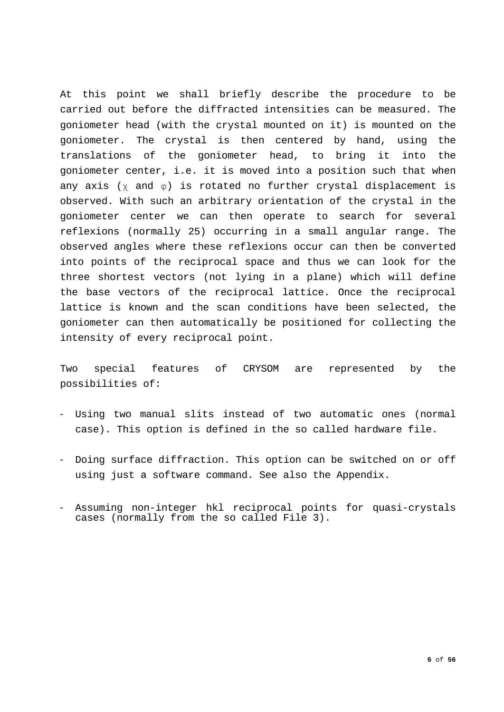At this point we shall briefly describe the procedure to be carried out before the diffracted intensities can be measured. The goniometer head (with the crystal mounted on it) is mounted on the goniometer. The crystal is then centered by hand, using the translations of the goniometer head, to bring it into the goniometer center, i.e. it is moved into a position such that when any axis ( $\chi$  and  $\varphi$ ) is rotated no further crystal displacement is observed. With such an arbitrary orientation of the crystal in the goniometer center we can then operate to search for several reflexions (normally 25) occurring in a small angular range. The observed angles where these reflexions occur can then be converted into points of the reciprocal space and thus we can look for the three shortest vectors (not lying in a plane) which will define the base vectors of the reciprocal lattice. Once the reciprocal lattice is known and the scan conditions have been selected, the goniometer can then automatically be positioned for collecting the intensity of every reciprocal point.

Two special features of CRYSOM are represented by the possibilities of:

- Using two manual slits instead of two automatic ones (normal case). This option is defined in the so called hardware file.
- Doing surface diffraction. This option can be switched on or off using just a software command. See also the Appendix.
- Assuming non-integer hkl reciprocal points for quasi-crystals cases (normally from the so called File 3).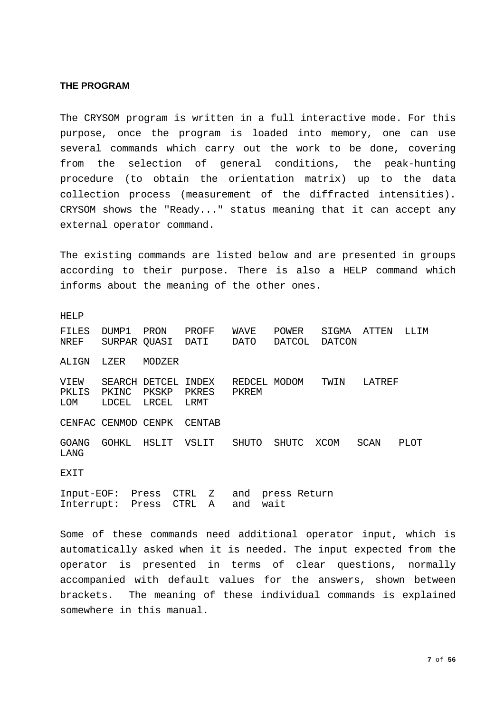## <span id="page-6-0"></span>**THE PROGRAM**

The CRYSOM program is written in a full interactive mode. For this purpose, once the program is loaded into memory, one can use several commands which carry out the work to be done, covering from the selection of general conditions, the peak-hunting procedure (to obtain the orientation matrix) up to the data collection process (measurement of the diffracted intensities). CRYSOM shows the "Ready..." status meaning that it can accept any external operator command.

The existing commands are listed below and are presented in groups according to their purpose. There is also a HELP command which informs about the meaning of the other ones.

HELP

| FILES<br>NREF               | DUMP1<br>SURPAR QUASI | PRON                            | PROFF<br>DATI          | WAVE<br>DATO          | <b>POWER</b><br>DATCOL | SIGMA<br>DATCON | ATTEN  | LLIM |
|-----------------------------|-----------------------|---------------------------------|------------------------|-----------------------|------------------------|-----------------|--------|------|
| ALIGN                       | LZER                  | MODZER                          |                        |                       |                        |                 |        |      |
| VIEW<br>PKLIS<br><b>LOM</b> | PKINC<br>LDCEL        | SEARCH DETCEL<br>PKSKP<br>LRCEL | INDEX<br>PKRES<br>LRMT | REDCEL MODOM<br>PKREM |                        | TWIN            | LATREF |      |
|                             | CENFAC CENMOD CENPK   |                                 | CENTAB                 |                       |                        |                 |        |      |
| <b>GOANG</b><br>LANG        | GOHKL                 | HSLIT                           | VSLIT                  | SHUTO                 | <b>SHUTC</b>           | XCOM            | SCAN   | PLOT |
| EXIT                        |                       |                                 |                        |                       |                        |                 |        |      |
|                             | Tnnut-FOF: Drecc      |                                 | $C$ TRI $\sim$ 7.      | and                   | nress Return           |                 |        |      |

Input-EOF: Press CTRL Z and press Return Interrupt: Press CTRL A

Some of these commands need additional operator input, which is automatically asked when it is needed. The input expected from the operator is presented in terms of clear questions, normally accompanied with default values for the answers, shown between brackets. The meaning of these individual commands is explained somewhere in this manual.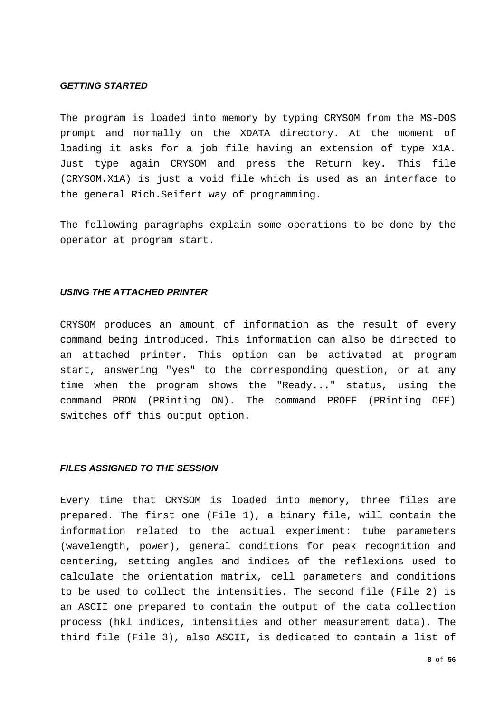## <span id="page-7-0"></span>*GETTING STARTED*

The program is loaded into memory by typing CRYSOM from the MS-DOS prompt and normally on the XDATA directory. At the moment of loading it asks for a job file having an extension of type X1A. Just type again CRYSOM and press the Return key. This file (CRYSOM.X1A) is just a void file which is used as an interface to the general Rich.Seifert way of programming.

The following paragraphs explain some operations to be done by the operator at program start.

## <span id="page-7-1"></span>*USING THE ATTACHED PRINTER*

CRYSOM produces an amount of information as the result of every command being introduced. This information can also be directed to an attached printer. This option can be activated at program start, answering "yes" to the corresponding question, or at any time when the program shows the "Ready..." status, using the command PRON (PRinting ON). The command PROFF (PRinting OFF) switches off this output option.

## <span id="page-7-2"></span>*FILES ASSIGNED TO THE SESSION*

Every time that CRYSOM is loaded into memory, three files are prepared. The first one (File 1), a binary file, will contain the information related to the actual experiment: tube parameters (wavelength, power), general conditions for peak recognition and centering, setting angles and indices of the reflexions used to calculate the orientation matrix, cell parameters and conditions to be used to collect the intensities. The second file (File 2) is an ASCII one prepared to contain the output of the data collection process (hkl indices, intensities and other measurement data). The third file (File 3), also ASCII, is dedicated to contain a list of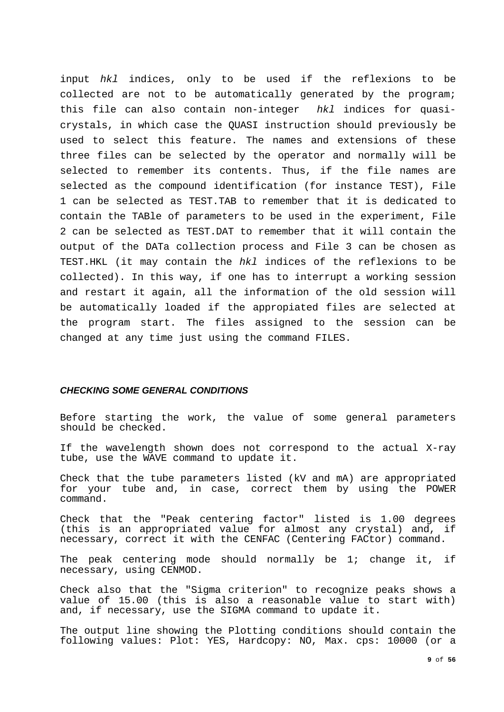input *hkl* indices, only to be used if the reflexions to be collected are not to be automatically generated by the program; this file can also contain non-integer *hkl* indices for quasicrystals, in which case the QUASI instruction should previously be used to select this feature. The names and extensions of these three files can be selected by the operator and normally will be selected to remember its contents. Thus, if the file names are selected as the compound identification (for instance TEST), File 1 can be selected as TEST.TAB to remember that it is dedicated to contain the TABle of parameters to be used in the experiment, File 2 can be selected as TEST.DAT to remember that it will contain the output of the DATa collection process and File 3 can be chosen as TEST.HKL (it may contain the *hkl* indices of the reflexions to be collected). In this way, if one has to interrupt a working session and restart it again, all the information of the old session will be automatically loaded if the appropiated files are selected at the program start. The files assigned to the session can be changed at any time just using the command FILES.

## <span id="page-8-0"></span>*CHECKING SOME GENERAL CONDITIONS*

Before starting the work, the value of some general parameters should be checked.

If the wavelength shown does not correspond to the actual X-ray tube, use the WAVE command to update it.

Check that the tube parameters listed (kV and mA) are appropriated for your tube and, in case, correct them by using the POWER command.

Check that the "Peak centering factor" listed is 1.00 degrees (this is an appropriated value for almost any crystal) and, if necessary, correct it with the CENFAC (Centering FACtor) command.

The peak centering mode should normally be 1; change it, if necessary, using CENMOD.

Check also that the "Sigma criterion" to recognize peaks shows a value of 15.00 (this is also a reasonable value to start with) and, if necessary, use the SIGMA command to update it.

The output line showing the Plotting conditions should contain the following values: Plot: YES, Hardcopy: NO, Max. cps: 10000 (or a

**9** of **56**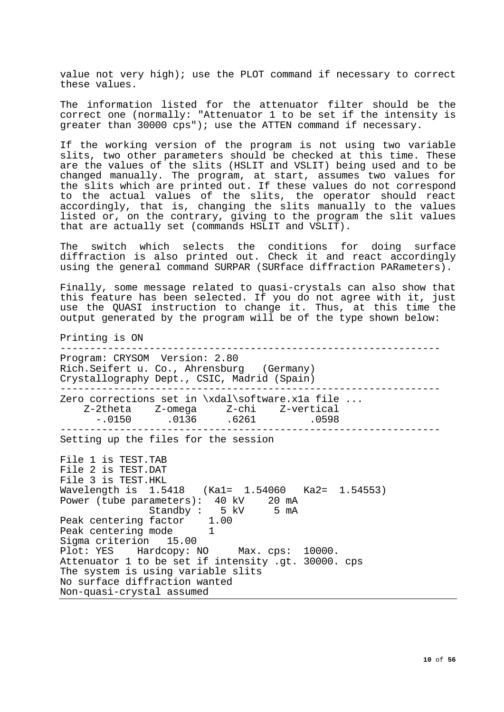value not very high); use the PLOT command if necessary to correct these values.

The information listed for the attenuator filter should be the correct one (normally: "Attenuator 1 to be set if the intensity is greater than 30000 cps"); use the ATTEN command if necessary.

If the working version of the program is not using two variable slits, two other parameters should be checked at this time. These are the values of the slits (HSLIT and VSLIT) being used and to be changed manually. The program, at start, assumes two values for the slits which are printed out. If these values do not correspond to the actual values of the slits, the operator should react accordingly, that is, changing the slits manually to the values listed or, on the contrary, giving to the program the slit values that are actually set (commands HSLIT and VSLIT).

The switch which selects the conditions for doing surface diffraction is also printed out. Check it and react accordingly using the general command SURPAR (SURface diffraction PARameters).

Finally, some message related to quasi-crystals can also show that this feature has been selected. If you do not agree with it, just use the QUASI instruction to change it. Thus, at this time the output generated by the program will be of the type shown below:

Printing is ON ---------------------------------------------------------------- Program: CRYSOM Version: 2.80 Rich.Seifert u. Co., Ahrensburg (Germany) Crystallography Dept., CSIC, Madrid (Spain) ---------------------------------------------------------------- Zero corrections set in \xdal\software.x1a file ... Z-2theta Z-omega Z-chi Z-vertical  $-.0150$   $.0136$   $.6261$   $.0598$ ---------------------------------------------------------------- Setting up the files for the session File 1 is TEST.TAB File 2 is TEST.DAT File 3 is TEST.HKL Wavelength is 1.5418 (Ka1= 1.54060 Ka2= 1.54553) Power (tube parameters): 40 kV 20 mA<br>Standby: 5 kV 5 mA Standby : 5 kV 5 mA Peak centering factor 1.00 Peak centering mode 1<br>Sigma criterion 15.00 Sigma criterion Plot: YES Hardcopy: NO Max. cps: 10000. Attenuator 1 to be set if intensity .gt. 30000. cps The system is using variable slits No surface diffraction wanted Non-quasi-crystal assumed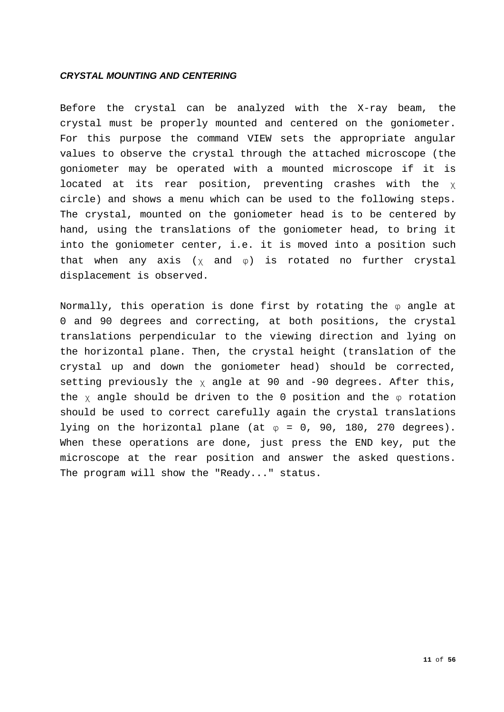## <span id="page-10-0"></span>*CRYSTAL MOUNTING AND CENTERING*

Before the crystal can be analyzed with the X-ray beam, the crystal must be properly mounted and centered on the goniometer. For this purpose the command VIEW sets the appropriate angular values to observe the crystal through the attached microscope (the goniometer may be operated with a mounted microscope if it is located at its rear position, preventing crashes with the χ circle) and shows a menu which can be used to the following steps. The crystal, mounted on the goniometer head is to be centered by hand, using the translations of the goniometer head, to bring it into the goniometer center, i.e. it is moved into a position such that when any axis  $(x \text{ and } \varphi)$  is rotated no further crystal displacement is observed.

Normally, this operation is done first by rotating the  $\varphi$  angle at 0 and 90 degrees and correcting, at both positions, the crystal translations perpendicular to the viewing direction and lying on the horizontal plane. Then, the crystal height (translation of the crystal up and down the goniometer head) should be corrected, setting previously the  $\chi$  angle at 90 and -90 degrees. After this, the  $\chi$  angle should be driven to the 0 position and the  $\varphi$  rotation should be used to correct carefully again the crystal translations lying on the horizontal plane (at  $\varphi = 0$ , 90, 180, 270 degrees). When these operations are done, just press the END key, put the microscope at the rear position and answer the asked questions. The program will show the "Ready..." status.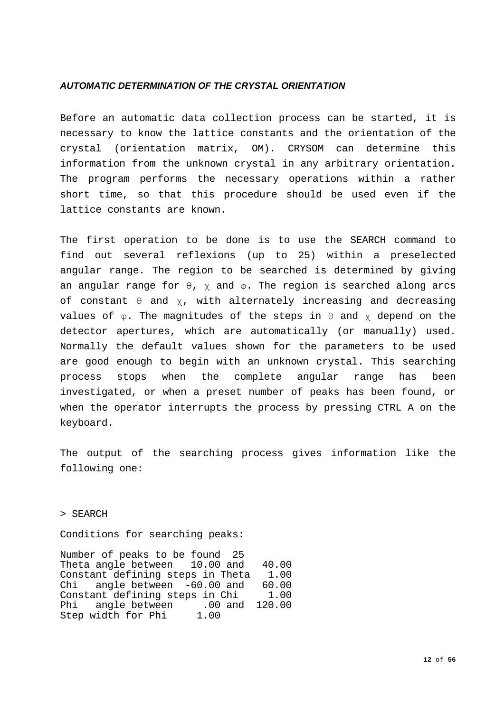## <span id="page-11-0"></span>*AUTOMATIC DETERMINATION OF THE CRYSTAL ORIENTATION*

Before an automatic data collection process can be started, it is necessary to know the lattice constants and the orientation of the crystal (orientation matrix, OM). CRYSOM can determine this information from the unknown crystal in any arbitrary orientation. The program performs the necessary operations within a rather short time, so that this procedure should be used even if the lattice constants are known.

The first operation to be done is to use the SEARCH command to find out several reflexions (up to 25) within a preselected angular range. The region to be searched is determined by giving an angular range for  $\theta$ ,  $\chi$  and  $\varphi$ . The region is searched along arcs of constant  $\theta$  and  $\chi$ , with alternately increasing and decreasing values of  $\varphi$ . The magnitudes of the steps in  $\theta$  and  $\chi$  depend on the detector apertures, which are automatically (or manually) used. Normally the default values shown for the parameters to be used are good enough to begin with an unknown crystal. This searching process stops when the complete angular range has been investigated, or when a preset number of peaks has been found, or when the operator interrupts the process by pressing CTRL A on the keyboard.

The output of the searching process gives information like the following one:

> SEARCH

Conditions for searching peaks:

Number of peaks to be found 25 Theta angle between 10.00 and 40.00<br>Constant defining steps in Theta 1.00 Constant defining steps in Theta 1.00<br>Chi angle between -60.00 and 60.00 angle between -60.00 and 60.00<br>unt defining steps in Chi 1.00 Constant defining steps in Chi<br>Phi angle between .00 and angle between .00 and 120.00<br>width for Phi 1.00 Step width for Phi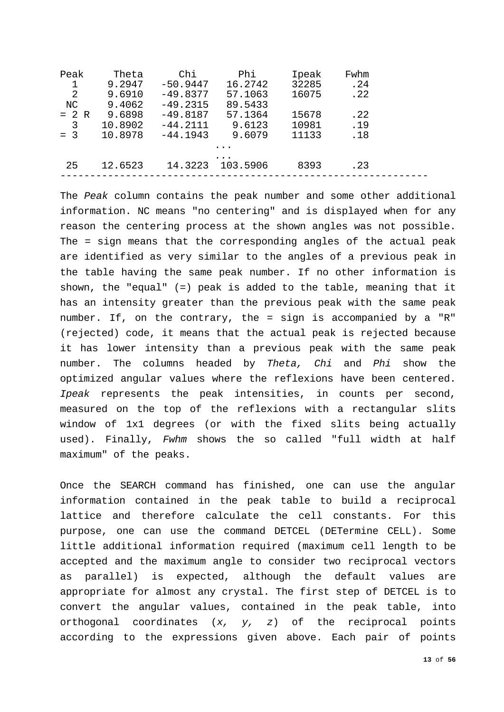| Peak    | Theta   | Chi        | Phi.     | Ipeak | Fwhm |  |
|---------|---------|------------|----------|-------|------|--|
| 1       | 9.2947  | $-50.9447$ | 16.2742  | 32285 | .24  |  |
| 2       | 9.6910  | $-49.8377$ | 57.1063  | 16075 | .22  |  |
| NC.     | 9.4062  | $-49.2315$ | 89.5433  |       |      |  |
| $= 2 R$ | 9.6898  | $-49.8187$ | 57.1364  | 15678 | .22  |  |
| 3       | 10.8902 | $-44.2111$ | 9.6123   | 10981 | .19  |  |
| $= 3$   | 10.8978 | $-44.1943$ | 9.6079   | 11133 | .18  |  |
|         |         |            |          |       |      |  |
|         |         |            |          |       |      |  |
| 25      | 12.6523 | 14.3223    | 103.5906 | 8393  | .23  |  |
|         |         |            |          |       |      |  |

The *Peak* column contains the peak number and some other additional information. NC means "no centering" and is displayed when for any reason the centering process at the shown angles was not possible. The = sign means that the corresponding angles of the actual peak are identified as very similar to the angles of a previous peak in the table having the same peak number. If no other information is shown, the "equal" (=) peak is added to the table, meaning that it has an intensity greater than the previous peak with the same peak number. If, on the contrary, the = sign is accompanied by a "R" (rejected) code, it means that the actual peak is rejected because it has lower intensity than a previous peak with the same peak number. The columns headed by *Theta, Chi* and *Phi* show the optimized angular values where the reflexions have been centered. *Ipeak* represents the peak intensities, in counts per second, measured on the top of the reflexions with a rectangular slits window of 1x1 degrees (or with the fixed slits being actually used). Finally, *Fwhm* shows the so called "full width at half maximum" of the peaks.

Once the SEARCH command has finished, one can use the angular information contained in the peak table to build a reciprocal lattice and therefore calculate the cell constants. For this purpose, one can use the command DETCEL (DETermine CELL). Some little additional information required (maximum cell length to be accepted and the maximum angle to consider two reciprocal vectors as parallel) is expected, although the default values are appropriate for almost any crystal. The first step of DETCEL is to convert the angular values, contained in the peak table, into orthogonal coordinates (*x, y, z*) of the reciprocal points according to the expressions given above. Each pair of points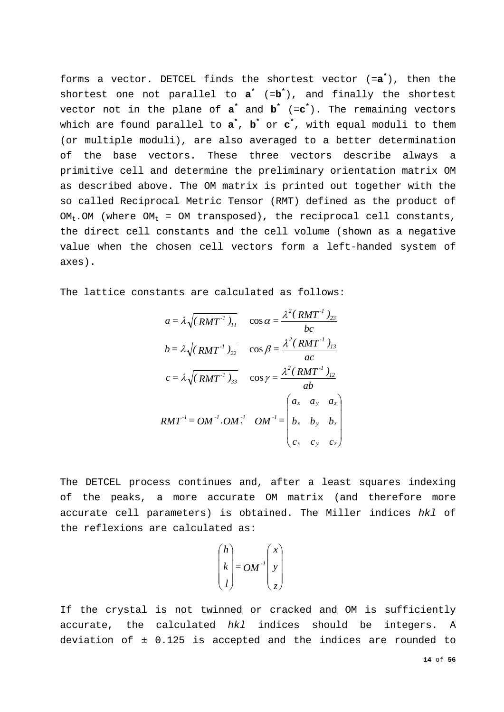forms a vector. DETCEL finds the shortest vector (=**a\*** ), then the shortest one not parallel to **a\*** (=**b\*** ), and finally the shortest vector not in the plane of **a\*** and **b\*** (=**c\*** ). The remaining vectors which are found parallel to **a\*** , **b\*** or **c\*** , with equal moduli to them (or multiple moduli), are also averaged to a better determination of the base vectors. These three vectors describe always a primitive cell and determine the preliminary orientation matrix OM as described above. The OM matrix is printed out together with the so called Reciprocal Metric Tensor (RMT) defined as the product of  $OM_t$ . OM (where  $OM_t = OM$  transposed), the reciprocal cell constants, the direct cell constants and the cell volume (shown as a negative value when the chosen cell vectors form a left-handed system of axes).

The lattice constants are calculated as follows:

$$
a = \lambda \sqrt{(RMT^T)_{11}} \quad \cos \alpha = \frac{\lambda^2 (RMT^T)_{23}}{bc}
$$
  
\n
$$
b = \lambda \sqrt{(RMT^T)_{22}} \quad \cos \beta = \frac{\lambda^2 (RMT^T)_{13}}{ac}
$$
  
\n
$$
c = \lambda \sqrt{(RMT^T)_{33}} \quad \cos \gamma = \frac{\lambda^2 (RMT^T)_{12}}{ab}
$$
  
\n
$$
RMT^T = OM^{-T} \cdot OM^{-T} \quad OM^{-T} = \begin{pmatrix} a_x & a_y & a_z \\ b_x & b_y & b_z \\ c_x & c_y & c_z \end{pmatrix}
$$

The DETCEL process continues and, after a least squares indexing of the peaks, a more accurate OM matrix (and therefore more accurate cell parameters) is obtained. The Miller indices *hkl* of the reflexions are calculated as:

$$
\begin{pmatrix} h \\ k \\ l \end{pmatrix} = OM^{-l} \begin{pmatrix} x \\ y \\ z \end{pmatrix}
$$

If the crystal is not twinned or cracked and OM is sufficiently accurate, the calculated *hkl* indices should be integers. A deviation of ± 0.125 is accepted and the indices are rounded to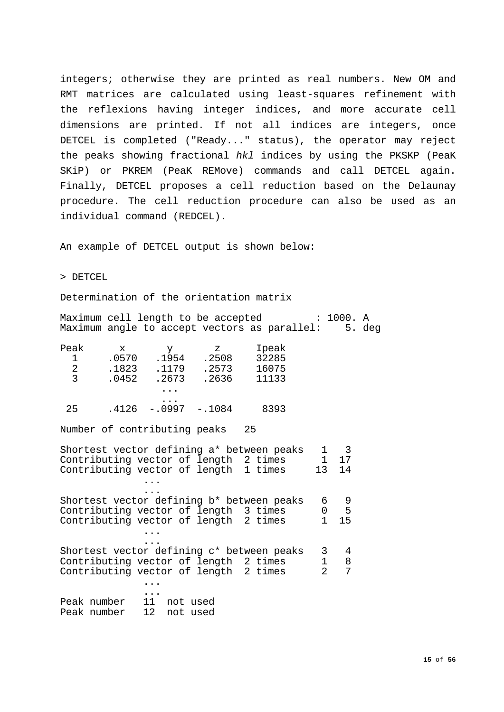integers; otherwise they are printed as real numbers. New OM and RMT matrices are calculated using least-squares refinement with the reflexions having integer indices, and more accurate cell dimensions are printed. If not all indices are integers, once DETCEL is completed ("Ready..." status), the operator may reject the peaks showing fractional *hkl* indices by using the PKSKP (PeaK SKiP) or PKREM (PeaK REMove) commands and call DETCEL again. Finally, DETCEL proposes a cell reduction based on the Delaunay procedure. The cell reduction procedure can also be used as an individual command (REDCEL).

An example of DETCEL output is shown below:

> DETCEL

Determination of the orientation matrix

Maximum cell length to be accepted : 1000. A Maximum angle to accept vectors as parallel: 5. deg

| Peak | x     |                      | z        | Ipeak |
|------|-------|----------------------|----------|-------|
| 1    | .0570 | .1954                | .2508    | 32285 |
| 2    | .1823 | .1179                | .2573    | 16075 |
| 3    | .0452 | .2673                | .2636    | 11133 |
|      |       | $\cdots$             |          |       |
| 25   | .4126 | $\cdots$<br>$-.0997$ | $-.1084$ | 8393  |

Number of contributing peaks 25

| Shortest vector defining a* between peaks          | 1              | $\overline{\phantom{a}}$ 3 |
|----------------------------------------------------|----------------|----------------------------|
| Contributing vector of length 2 times              | 1 17           |                            |
| Contributing vector of length 1 times 13           |                | 14                         |
|                                                    |                |                            |
| Shortest vector defining b* between peaks          | 6              | - 9                        |
| Contributing vector of length 3 times              | $0\qquad 5$    |                            |
| Contributing vector of length 2 times 1            |                | 15                         |
|                                                    |                |                            |
| Shortest vector defining c* between peaks 3        |                | 4                          |
| Contributing vector of length 2 times 1            |                | 8                          |
| Contributing vector of length 2 times              | $\mathfrak{D}$ | 7                          |
|                                                    |                |                            |
| Peak number 11 not used<br>Peak number 12 not used |                |                            |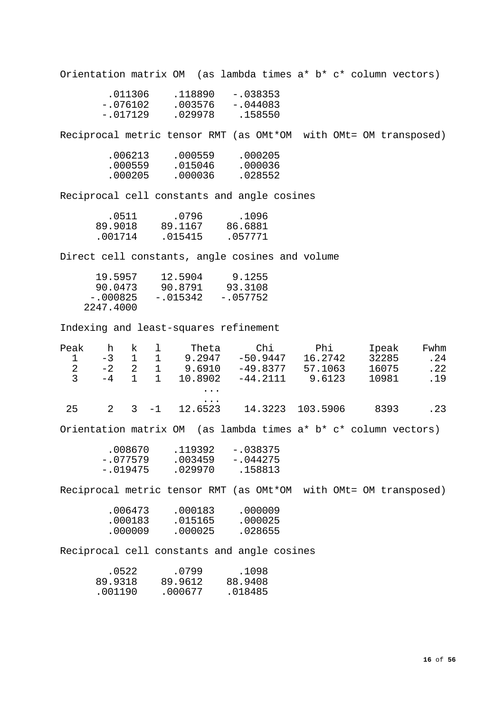Orientation matrix OM (as lambda times a\* b\* c\* column vectors)

| .011306    | .118890 | $-.038353$ |
|------------|---------|------------|
| -.076102   | .003576 | $-.044083$ |
| $-.017129$ | .029978 | .158550    |
|            |         |            |

Reciprocal metric tensor RMT (as OMt\*OM with OMt= OM transposed)

| .000559 | .000205 |
|---------|---------|
| .015046 | .000036 |
| .000036 | .028552 |
|         |         |

Reciprocal cell constants and angle cosines

| .0511   | .0796   | .1096   |
|---------|---------|---------|
| 89.9018 | 89.1167 | 86.6881 |
| .001714 | .015415 | .057771 |

Direct cell constants, angle cosines and volume

| 19.5957    | 12.5904    | 9.1255     |
|------------|------------|------------|
| 90.0473    | 90.8791    | 93.3108    |
| $-.000825$ | $-.015342$ | $-.057752$ |
| 2247.4000  |            |            |

Indexing and least-squares refinement

| Peak                                       | h                          | $\mathbf{k}$ |                          | 1 Theta           |                                                                      |         | Chi Phi | Ipeak |       | Fwhm |
|--------------------------------------------|----------------------------|--------------|--------------------------|-------------------|----------------------------------------------------------------------|---------|---------|-------|-------|------|
|                                            |                            |              |                          |                   | $-3$ 1 1 9.2947 $-50.9447$ 16.2742                                   |         |         |       | 32285 | .24  |
|                                            |                            |              |                          |                   | $-2$ 2 1 9.6910 $-49.8377$ 57.1063 16075                             |         |         |       |       | .22  |
| $\begin{array}{c} 1 \\ 2 \\ 3 \end{array}$ | $-4$                       |              | $1 \quad 1$              |                   | 10.8902 -44.2111 9.6123                                              |         |         |       | 10981 | .19  |
|                                            |                            |              |                          | $\cdots$          |                                                                      |         |         |       |       |      |
| 25                                         | $\overline{\phantom{a}}$ 2 |              |                          | .                 | $3 -1$ 12.6523 14.3223 103.5906 8393                                 |         |         |       |       | .23  |
|                                            |                            |              |                          |                   | Orientation matrix OM (as lambda times a* b* c* column vectors)      |         |         |       |       |      |
|                                            |                            |              | $-.077579$<br>$-.019475$ |                   | $.008670$ .119392 -.038375<br>$.003459 - .044275$<br>.029970 .158813 |         |         |       |       |      |
|                                            |                            |              |                          |                   | Reciprocal metric tensor RMT (as OMt*OM with OMt= OM transposed)     |         |         |       |       |      |
|                                            |                            |              |                          |                   | .006473 .000183 .000009                                              |         |         |       |       |      |
|                                            |                            |              | .000183                  |                   | .015165 .000025                                                      |         |         |       |       |      |
|                                            |                            |              | .000009                  | .000025           |                                                                      | .028655 |         |       |       |      |
|                                            |                            |              |                          |                   | Reciprocal cell constants and angle cosines                          |         |         |       |       |      |
|                                            |                            | .0522        |                          |                   | .0799 .1098                                                          |         |         |       |       |      |
|                                            |                            |              |                          |                   | 89.9318 89.9612 88.9408                                              |         |         |       |       |      |
|                                            |                            |              |                          | $.001190$ .000677 | .018485                                                              |         |         |       |       |      |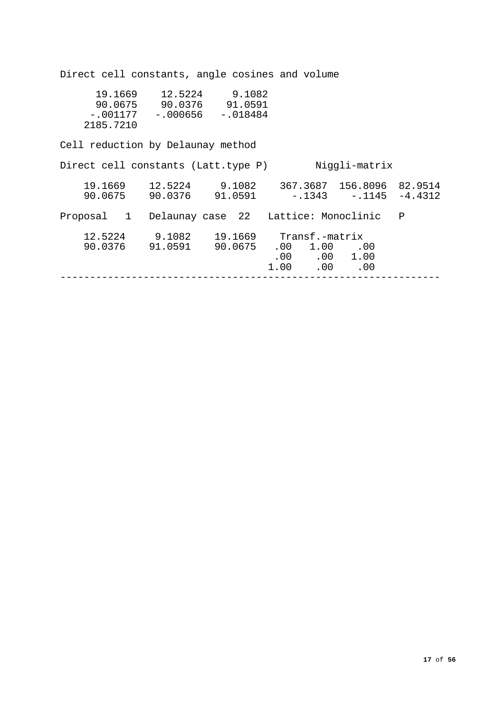Direct cell constants, angle cosines and volume 19.1669 12.5224 9.1082 90.0675 90.0376 91.0591 -.001177 -.000656 -.018484 2185.7210 Cell reduction by Delaunay method Direct cell constants (Latt.type P) Niggli-matrix 19.1669 12.5224 9.1082 367.3687 156.8096 82.9514 90.0675 90.0376 91.0591 -.1343 -.1145 -4.4312 Proposal 1 Delaunay case 22 Lattice: Monoclinic P 12.5224 9.1082 19.1669 Transf.-matrix 90.0376 91.0591 90.0675 .00 1.00 .00  $\begin{array}{cccc} 0.00 & 0.00 & 1.00 \end{array}$  $1.00$   $.00$   $.00$ ----------------------------------------------------------------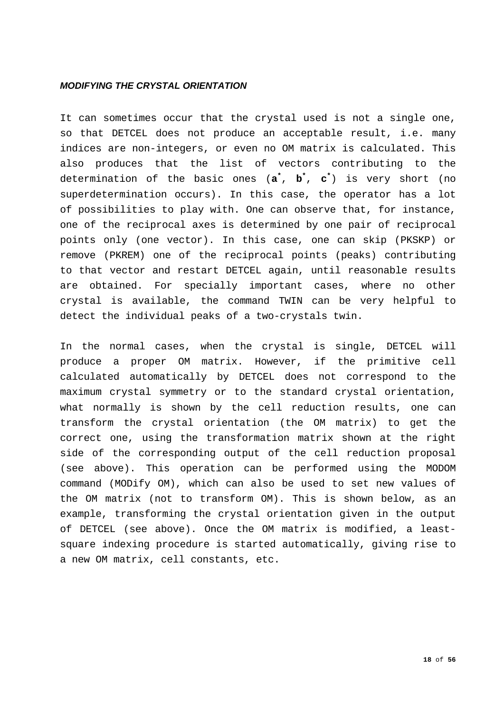## <span id="page-17-0"></span>*MODIFYING THE CRYSTAL ORIENTATION*

It can sometimes occur that the crystal used is not a single one, so that DETCEL does not produce an acceptable result, i.e. many indices are non-integers, or even no OM matrix is calculated. This also produces that the list of vectors contributing to the determination of the basic ones (**a\*** , **b\*** , **c\*** ) is very short (no superdetermination occurs). In this case, the operator has a lot of possibilities to play with. One can observe that, for instance, one of the reciprocal axes is determined by one pair of reciprocal points only (one vector). In this case, one can skip (PKSKP) or remove (PKREM) one of the reciprocal points (peaks) contributing to that vector and restart DETCEL again, until reasonable results are obtained. For specially important cases, where no other crystal is available, the command TWIN can be very helpful to detect the individual peaks of a two-crystals twin.

In the normal cases, when the crystal is single, DETCEL will produce a proper OM matrix. However, if the primitive cell calculated automatically by DETCEL does not correspond to the maximum crystal symmetry or to the standard crystal orientation, what normally is shown by the cell reduction results, one can transform the crystal orientation (the OM matrix) to get the correct one, using the transformation matrix shown at the right side of the corresponding output of the cell reduction proposal (see above). This operation can be performed using the MODOM command (MODify OM), which can also be used to set new values of the OM matrix (not to transform OM). This is shown below, as an example, transforming the crystal orientation given in the output of DETCEL (see above). Once the OM matrix is modified, a leastsquare indexing procedure is started automatically, giving rise to a new OM matrix, cell constants, etc.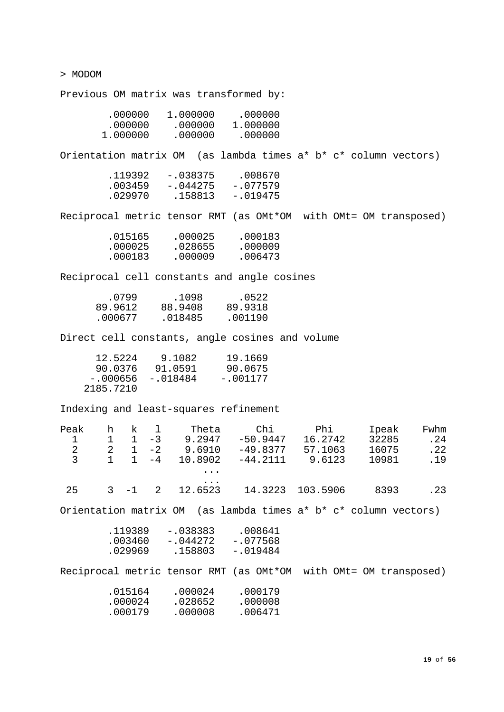> MODOM

Previous OM matrix was transformed by:

| 1,000000 | .000000  |
|----------|----------|
| .000000  | 1.000000 |
| .000000  | .000000  |
|          |          |

Orientation matrix OM (as lambda times a\* b\* c\* column vectors)

| .119392 | $-.038375$ | .008670    |
|---------|------------|------------|
| .003459 | $-.044275$ | $-.077579$ |
| .029970 | .158813    | -.019475   |
|         |            |            |

Reciprocal metric tensor RMT (as OMt\*OM with OMt= OM transposed)

| .015165 | .000025 | .000183 |
|---------|---------|---------|
| .000025 | .028655 | .000009 |
| .000183 | .000009 | .006473 |

Reciprocal cell constants and angle cosines

| .0799   | .1098   | .0522   |
|---------|---------|---------|
| 89.9612 | 88.9408 | 89.9318 |
| .000677 | .018485 | .001190 |

Direct cell constants, angle cosines and volume

| 12.5224   | 9.1082   | 19.1669    |
|-----------|----------|------------|
| 90.0376   | 91.0591  | 90.0675    |
| -.000656  | -.018484 | $-.001177$ |
| 2185.7210 |          |            |

Indexing and least-squares refinement

| Peak          | h. | ĸ       |      | Theta               | Chi        | Phi      | Ipeak | Fwhm |
|---------------|----|---------|------|---------------------|------------|----------|-------|------|
|               |    |         | $-3$ | 9.2947              | $-50.9447$ | 16.2742  | 32285 | .24  |
| $\mathcal{L}$ | 2  |         | $-2$ | 9.6910              | $-49.8377$ | 57.1063  | 16075 | .22  |
| $\mathcal{E}$ |    |         | $-4$ | 10.8902             | $-44.2111$ | 9.6123   | 10981 | .19  |
|               |    |         |      | $\ddotsc$           |            |          |       |      |
| 25            |    | $3 - 1$ | 2    | $\cdots$<br>12.6523 | 14.3223    | 103.5906 | 8393  | . 23 |

Orientation matrix OM (as lambda times a\* b\* c\* column vectors)

| .119389 | $-.038383$ | .008641    |
|---------|------------|------------|
| .003460 | -.044272   | $-.077568$ |
| .029969 | .158803    | $-.019484$ |

Reciprocal metric tensor RMT (as OMt\*OM with OMt= OM transposed)

| .015164 | .000024 | .000179 |
|---------|---------|---------|
| .000024 | .028652 | .000008 |
| .000179 | .000008 | .006471 |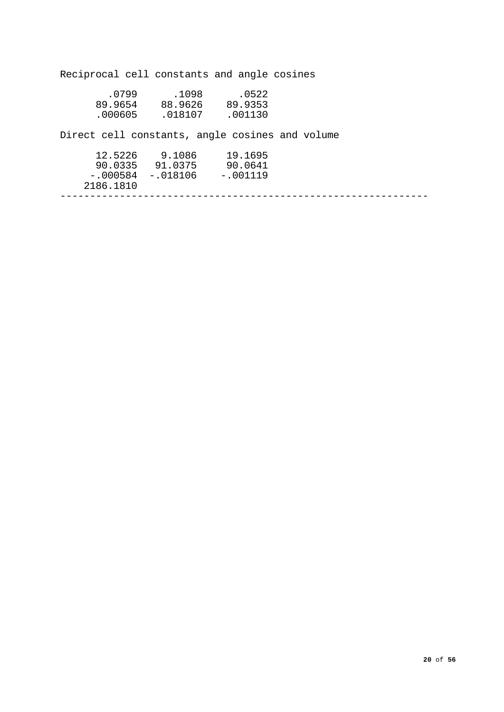Reciprocal cell constants and angle cosines .0799 .1098 .0522 89.9654 88.9626 89.9353 .000605 .018107 .001130 Direct cell constants, angle cosines and volume 12.5226 9.1086 19.1695 90.0335 91.0375 90.0641 -.000584 -.018106 -.001119 2186.1810 --------------------------------------------------------------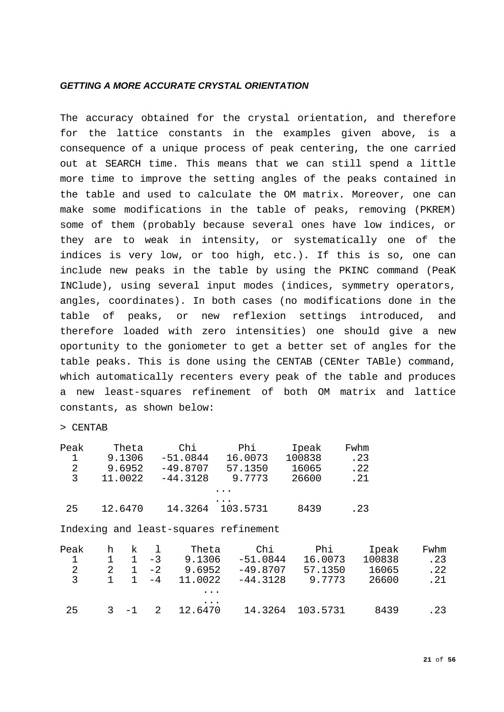## <span id="page-20-0"></span>*GETTING A MORE ACCURATE CRYSTAL ORIENTATION*

The accuracy obtained for the crystal orientation, and therefore for the lattice constants in the examples given above, is a consequence of a unique process of peak centering, the one carried out at SEARCH time. This means that we can still spend a little more time to improve the setting angles of the peaks contained in the table and used to calculate the OM matrix. Moreover, one can make some modifications in the table of peaks, removing (PKREM) some of them (probably because several ones have low indices, or they are to weak in intensity, or systematically one of the indices is very low, or too high, etc.). If this is so, one can include new peaks in the table by using the PKINC command (PeaK INClude), using several input modes (indices, symmetry operators, angles, coordinates). In both cases (no modifications done in the table of peaks, or new reflexion settings introduced, and therefore loaded with zero intensities) one should give a new oportunity to the goniometer to get a better set of angles for the table peaks. This is done using the CENTAB (CENter TABle) command, which automatically recenters every peak of the table and produces a new least-squares refinement of both OM matrix and lattice constants, as shown below:

### > CENTAB

| Peak | Theta   | Chi        | Phi.     | Ipeak  | Fwhm |
|------|---------|------------|----------|--------|------|
|      | 9.1306  | $-51.0844$ | 16.0073  | 100838 | .23  |
| 2    | 9.6952  | $-49.8707$ | 57.1350  | 16065  | .22  |
| 3    | 11.0022 | $-44.3128$ | 9.7773   | 26600  | .21  |
|      |         |            | .        |        |      |
|      |         |            |          |        |      |
| 25   | 12.6470 | 14.3264    | 103.5731 | 8439   | .23  |
|      |         |            |          |        |      |

Indexing and least-squares refinement

| Peak<br>2<br>3 | h | k       | $-3$<br>$-2$<br>$-4$ | Theta<br>9.1306<br>9.6952<br>11.0022 | Chi<br>$-51.0844$<br>$-49.8707$<br>$-44.3128$ | Phi<br>16.0073<br>57.1350<br>9.7773 | Ipeak<br>100838<br>16065<br>26600 | Fwhm<br>.23<br>.22<br>.21 |
|----------------|---|---------|----------------------|--------------------------------------|-----------------------------------------------|-------------------------------------|-----------------------------------|---------------------------|
|                |   |         |                      | $\ddotsc$                            |                                               |                                     |                                   |                           |
| 25             |   | $3 - 1$ |                      | $\cdots$<br>12.6470                  | 14.3264                                       | 103.5731                            | 8439                              | . 23                      |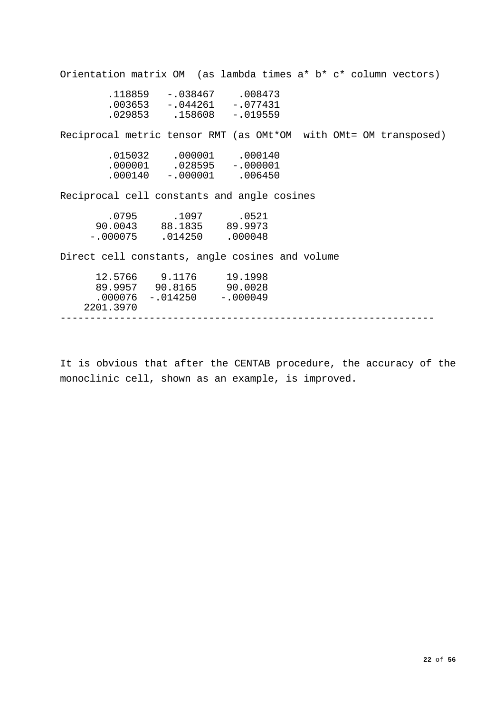|                                                                                                 | Orientation matrix OM (as lambda times a* b* c* column vectors)  |
|-------------------------------------------------------------------------------------------------|------------------------------------------------------------------|
| $.118859 - .038467 .008473$<br>$.003653 - .044261 - .077431$<br>$.029853$ $.158608$ $-.019559$  |                                                                  |
|                                                                                                 | Reciprocal metric tensor RMT (as OMt*OM with OMt= OM transposed) |
| .015032 .000001 .000140<br>$.000001$ $.028595$ $-.000001$<br>$.000140 - .000001$ .006450        |                                                                  |
| Reciprocal cell constants and angle cosines                                                     |                                                                  |
| .0795 .1097 .0521<br>90.0043 88.1835 89.9973<br>$-.000075$ .014250 .000048                      |                                                                  |
| Direct cell constants, angle cosines and volume                                                 |                                                                  |
| 12.5766 9.1176 19.1998<br>89.9957 90.8165 90.0028<br>$.000076 - .014250 - .000049$<br>2201.3970 |                                                                  |
|                                                                                                 |                                                                  |

It is obvious that after the CENTAB procedure, the accuracy of the monoclinic cell, shown as an example, is improved.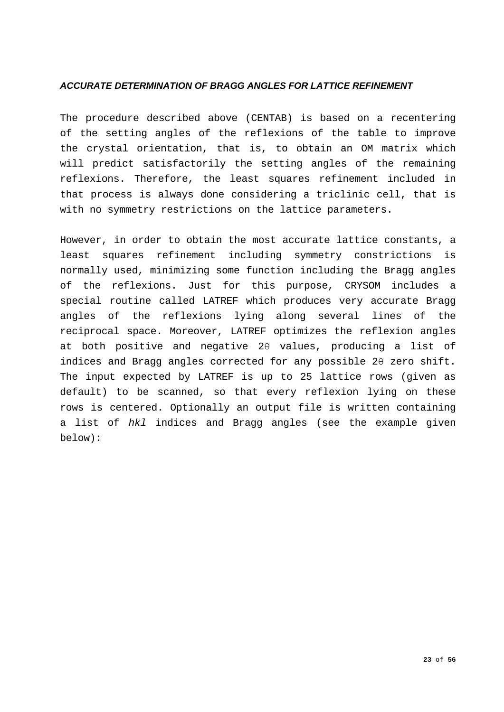# <span id="page-22-0"></span>*ACCURATE DETERMINATION OF BRAGG ANGLES FOR LATTICE REFINEMENT*

The procedure described above (CENTAB) is based on a recentering of the setting angles of the reflexions of the table to improve the crystal orientation, that is, to obtain an OM matrix which will predict satisfactorily the setting angles of the remaining reflexions. Therefore, the least squares refinement included in that process is always done considering a triclinic cell, that is with no symmetry restrictions on the lattice parameters.

However, in order to obtain the most accurate lattice constants, a least squares refinement including symmetry constrictions is normally used, minimizing some function including the Bragg angles of the reflexions. Just for this purpose, CRYSOM includes a special routine called LATREF which produces very accurate Bragg angles of the reflexions lying along several lines of the reciprocal space. Moreover, LATREF optimizes the reflexion angles at both positive and negative 2θ values, producing a list of indices and Bragg angles corrected for any possible 2θ zero shift. The input expected by LATREF is up to 25 lattice rows (given as default) to be scanned, so that every reflexion lying on these rows is centered. Optionally an output file is written containing a list of *hkl* indices and Bragg angles (see the example given below):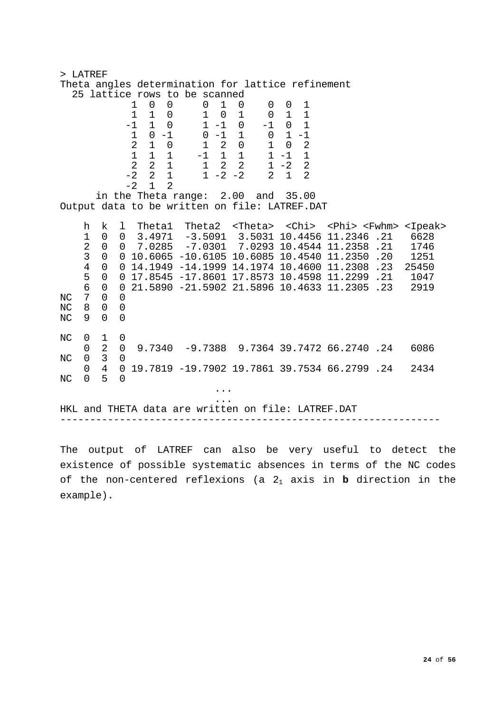| > LATREF  |                          |                                            |                               |      |                                         |                               |  |                                                                                                                                        |                |                                                                                                                                                  |      |
|-----------|--------------------------|--------------------------------------------|-------------------------------|------|-----------------------------------------|-------------------------------|--|----------------------------------------------------------------------------------------------------------------------------------------|----------------|--------------------------------------------------------------------------------------------------------------------------------------------------|------|
|           |                          |                                            |                               |      |                                         |                               |  | Theta angles determination for lattice refinement                                                                                      |                |                                                                                                                                                  |      |
|           |                          |                                            |                               |      | $1 \quad 0 \quad 0$                     | 25 lattice rows to be scanned |  |                                                                                                                                        |                |                                                                                                                                                  |      |
|           |                          |                                            |                               |      | $\begin{matrix} 1 & 1 & 0 \end{matrix}$ |                               |  | $\begin{array}{cccccc} 0 & 1 & 0 & 0 & 0 & 1 \\ 1 & 0 & 1 & 0 & 1 & 1 \\ 1 & -1 & 0 & -1 & 0 & 1 \\ 0 & 1 & 1 & 0 & 1 & 1 \end{array}$ |                |                                                                                                                                                  |      |
|           |                          |                                            |                               |      | $-1 \quad 1 \quad 0$                    |                               |  |                                                                                                                                        |                |                                                                                                                                                  |      |
|           |                          |                                            |                               |      | $1 0 -1$                                |                               |  | $0 -1 1 0 1 -1$                                                                                                                        |                |                                                                                                                                                  |      |
|           |                          |                                            |                               |      | $2 \quad 1 \quad 0$                     |                               |  | 1 2 0 1 0                                                                                                                              | $\overline{c}$ |                                                                                                                                                  |      |
|           |                          |                                            |                               |      |                                         |                               |  | $1 \quad 1 \quad 1 \quad -1 \quad 1 \quad 1 \quad 1 \quad -1 \quad 1$                                                                  |                |                                                                                                                                                  |      |
|           |                          |                                            |                               |      | $-2$ 2 1                                |                               |  | $2$ $2$ $1$ $1$ $2$ $2$ $1$ $-2$ $2$<br>$1 - 2 - 2$ 2 1                                                                                | $\overline{2}$ |                                                                                                                                                  |      |
|           |                          |                                            |                               | $-2$ | $1 \quad$<br>2                          |                               |  |                                                                                                                                        |                |                                                                                                                                                  |      |
|           |                          |                                            |                               |      |                                         |                               |  | in the Theta range: 2.00 and 35.00                                                                                                     |                |                                                                                                                                                  |      |
|           |                          |                                            |                               |      |                                         |                               |  | Output data to be written on file: LATREF.DAT                                                                                          |                |                                                                                                                                                  |      |
|           |                          | k                                          |                               |      |                                         |                               |  |                                                                                                                                        |                |                                                                                                                                                  |      |
|           | h<br>1                   | $\overline{0}$                             | 1                             |      |                                         |                               |  |                                                                                                                                        |                | Thetal Theta2 <theta> <chi> <phi> <fwhm> <ipeak><br/><math>0</math> 3.4971 -3.5091 3.5031 10.4456 11.2346 .21</ipeak></fwhm></phi></chi></theta> | 6628 |
|           | $\overline{a}$           | $\overline{0}$                             |                               |      |                                         |                               |  |                                                                                                                                        |                | $0$ 7.0285 -7.0301 7.0293 10.4544 11.2358 .21                                                                                                    | 1746 |
|           | $\overline{3}$           |                                            |                               |      |                                         |                               |  |                                                                                                                                        |                | $0$ 0 10.6065 -10.6105 10.6085 10.4540 11.2350 .20                                                                                               | 1251 |
|           | $\overline{4}$           |                                            |                               |      |                                         |                               |  |                                                                                                                                        |                | 0 0 14.1949 -14.1999 14.1974 10.4600 11.2308 .23 25450                                                                                           |      |
|           | 5                        |                                            |                               |      |                                         |                               |  |                                                                                                                                        |                | 0 0 17.8545 -17.8601 17.8573 10.4598 11.2299 .21 1047                                                                                            |      |
|           | $6\overline{6}$          |                                            |                               |      |                                         |                               |  |                                                                                                                                        |                | 0 0 21.5890 -21.5902 21.5896 10.4633 11.2305 .23 2919                                                                                            |      |
| NC<br>ΝC  | $7\overline{ }$<br>8     | $\overline{0}$<br>$\mathsf{O}$             | $\overline{0}$<br>$\mathsf 0$ |      |                                         |                               |  |                                                                                                                                        |                |                                                                                                                                                  |      |
| $\rm NC$  | 9                        | $\overline{0}$                             | $\mathbf 0$                   |      |                                         |                               |  |                                                                                                                                        |                |                                                                                                                                                  |      |
|           |                          |                                            |                               |      |                                         |                               |  |                                                                                                                                        |                |                                                                                                                                                  |      |
| NC        | $\overline{0}$           | $\mathbf{1}$                               | 0                             |      |                                         |                               |  |                                                                                                                                        |                |                                                                                                                                                  |      |
|           | 0                        | 2                                          | $\mathbf 0$                   |      |                                         |                               |  |                                                                                                                                        |                | 9.7340 -9.7388 9.7364 39.7472 66.2740 .24                                                                                                        | 6086 |
| NC        | $\mathsf{O}$<br>$\Omega$ | $\overline{\mathbf{3}}$<br>$4\overline{4}$ | $\mathbf 0$                   |      |                                         |                               |  |                                                                                                                                        |                | 0 19.7819 -19.7902 19.7861 39.7534 66.2799 .24                                                                                                   |      |
| $\rm{NC}$ | $\Omega$                 | 5                                          | $\overline{0}$                |      |                                         |                               |  |                                                                                                                                        |                |                                                                                                                                                  | 2434 |
|           |                          |                                            |                               |      |                                         |                               |  |                                                                                                                                        |                |                                                                                                                                                  |      |
|           |                          |                                            |                               |      |                                         |                               |  |                                                                                                                                        |                |                                                                                                                                                  |      |
|           |                          |                                            |                               |      |                                         |                               |  |                                                                                                                                        |                | HKL and THETA data are written on file: LATREF.DAT                                                                                               |      |
|           |                          |                                            |                               |      |                                         |                               |  |                                                                                                                                        |                |                                                                                                                                                  |      |

The output of LATREF can also be very useful to detect the existence of possible systematic absences in terms of the NC codes of the non-centered reflexions (a 21 axis in **b** direction in the example).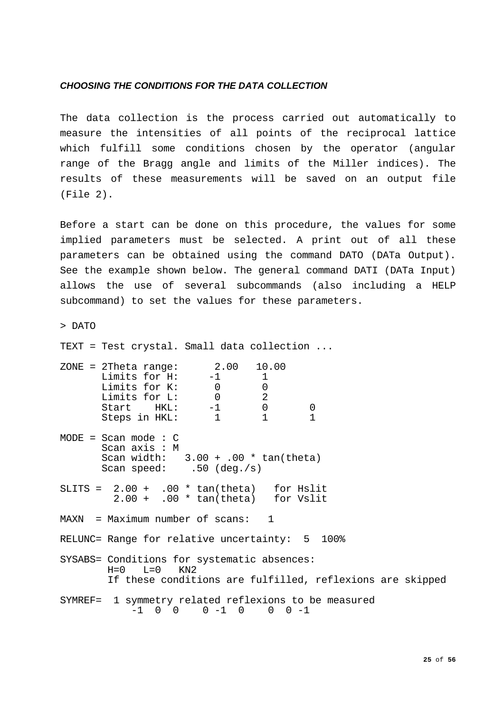## <span id="page-24-0"></span>*CHOOSING THE CONDITIONS FOR THE DATA COLLECTION*

The data collection is the process carried out automatically to measure the intensities of all points of the reciprocal lattice which fulfill some conditions chosen by the operator (angular range of the Bragg angle and limits of the Miller indices). The results of these measurements will be saved on an output file (File 2).

Before a start can be done on this procedure, the values for some implied parameters must be selected. A print out of all these parameters can be obtained using the command DATO (DATa Output). See the example shown below. The general command DATI (DATa Input) allows the use of several subcommands (also including a HELP subcommand) to set the values for these parameters.

> DATO

TEXT = Test crystal. Small data collection ...

| $ZONE = 2Theta range: 2.00 10.00$<br>Limits for $H$ : $-1$ 1<br>Limits for K: 0<br>Limits for L: 0 2<br>Start HKL: -1 0<br>Steps in HKL: 1 1 |                 |                                                           |  |
|----------------------------------------------------------------------------------------------------------------------------------------------|-----------------|-----------------------------------------------------------|--|
| Steps in HKL:                                                                                                                                |                 | $\theta$                                                  |  |
| $MODE = Scan mode : C$<br>Scan axis: M<br>Scan width: $3.00 + .00 * tan(theta)$<br>Scan speed: $.50$ (deg./s)                                |                 |                                                           |  |
| SLITS = $2.00 + .00 * tan(theta)$ for Hslit<br>$2.00 + .00 * tan(theta)$ for Vslit                                                           |                 |                                                           |  |
| $MAXN = Maximum number of scans: 1$                                                                                                          |                 |                                                           |  |
| RELUNC= Range for relative uncertainty: 5 100%                                                                                               |                 |                                                           |  |
| SYSABS= Conditions for systematic absences:<br>$H=0$ $L=0$ $KN2$                                                                             |                 | If these conditions are fulfilled, reflexions are skipped |  |
| SYMREF= 1 symmetry related reflexions to be measured<br>$-1$ 0 0                                                                             | $0 -1 0 0 0 -1$ |                                                           |  |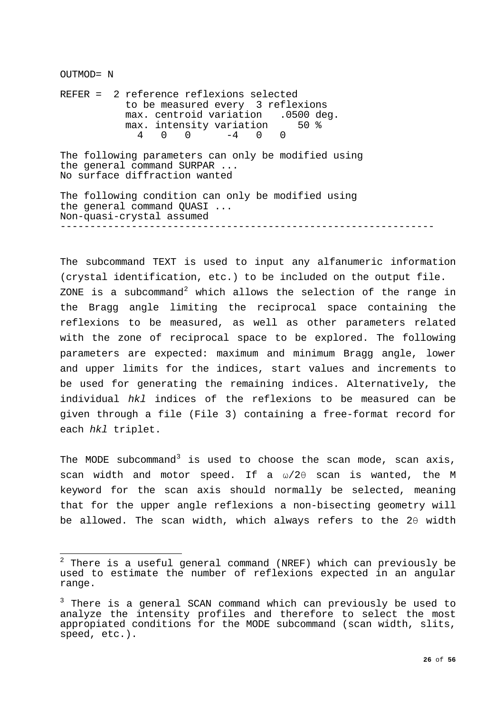OUTMOD= N

REFER = 2 reference reflexions selected to be measured every 3 reflexions max. centroid variation .0500 deg.<br>max. intensity variation 50 % max. intensity variation<br> $4\quad 0\quad 0\quad -4\quad 0\quad 0$ 4 0 0 -4 0 0

The following parameters can only be modified using the general command SURPAR ... No surface diffraction wanted

The following condition can only be modified using the general command QUASI ... Non-quasi-crystal assumed ---------------------------------------------------------------

The subcommand TEXT is used to input any alfanumeric information (crystal identification, etc.) to be included on the output file. ZONE is a subcommand<sup>[2](#page-25-0)</sup> which allows the selection of the range in the Bragg angle limiting the reciprocal space containing the reflexions to be measured, as well as other parameters related with the zone of reciprocal space to be explored. The following parameters are expected: maximum and minimum Bragg angle, lower and upper limits for the indices, start values and increments to be used for generating the remaining indices. Alternatively, the individual *hkl* indices of the reflexions to be measured can be given through a file (File 3) containing a free-format record for each *hkl* triplet.

The MODE subcommand<sup>[3](#page-25-1)</sup> is used to choose the scan mode, scan axis, scan width and motor speed. If a ω/2θ scan is wanted, the M keyword for the scan axis should normally be selected, meaning that for the upper angle reflexions a non-bisecting geometry will be allowed. The scan width, which always refers to the 2θ width

<span id="page-25-0"></span> $\frac{1}{2}$  $^2$  There is a useful general command (NREF) which can previously be used to estimate the number of reflexions expected in an angular range.

<span id="page-25-1"></span> $3$  There is a general SCAN command which can previously be used to analyze the intensity profiles and therefore to select the most appropiated conditions for the MODE subcommand (scan width, slits, speed, etc.).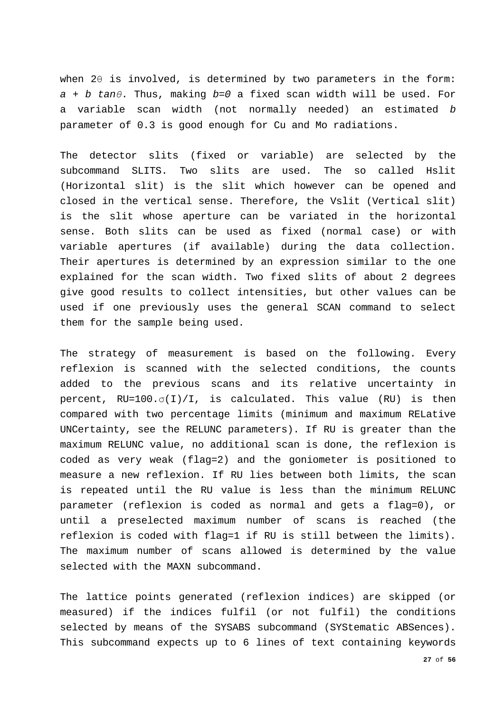when 2θ is involved, is determined by two parameters in the form: *a + b tanθ*. Thus, making *b=0* a fixed scan width will be used. For a variable scan width (not normally needed) an estimated *b* parameter of 0.3 is good enough for Cu and Mo radiations.

The detector slits (fixed or variable) are selected by the subcommand SLITS. Two slits are used. The so called Hslit (Horizontal slit) is the slit which however can be opened and closed in the vertical sense. Therefore, the Vslit (Vertical slit) is the slit whose aperture can be variated in the horizontal sense. Both slits can be used as fixed (normal case) or with variable apertures (if available) during the data collection. Their apertures is determined by an expression similar to the one explained for the scan width. Two fixed slits of about 2 degrees give good results to collect intensities, but other values can be used if one previously uses the general SCAN command to select them for the sample being used.

The strategy of measurement is based on the following. Every reflexion is scanned with the selected conditions, the counts added to the previous scans and its relative uncertainty in percent,  $RU=100. \sigma(1)/I$ , is calculated. This value (RU) is then compared with two percentage limits (minimum and maximum RELative UNCertainty, see the RELUNC parameters). If RU is greater than the maximum RELUNC value, no additional scan is done, the reflexion is coded as very weak (flag=2) and the goniometer is positioned to measure a new reflexion. If RU lies between both limits, the scan is repeated until the RU value is less than the minimum RELUNC parameter (reflexion is coded as normal and gets a flag=0), or until a preselected maximum number of scans is reached (the reflexion is coded with flag=1 if RU is still between the limits). The maximum number of scans allowed is determined by the value selected with the MAXN subcommand.

The lattice points generated (reflexion indices) are skipped (or measured) if the indices fulfil (or not fulfil) the conditions selected by means of the SYSABS subcommand (SYStematic ABSences). This subcommand expects up to 6 lines of text containing keywords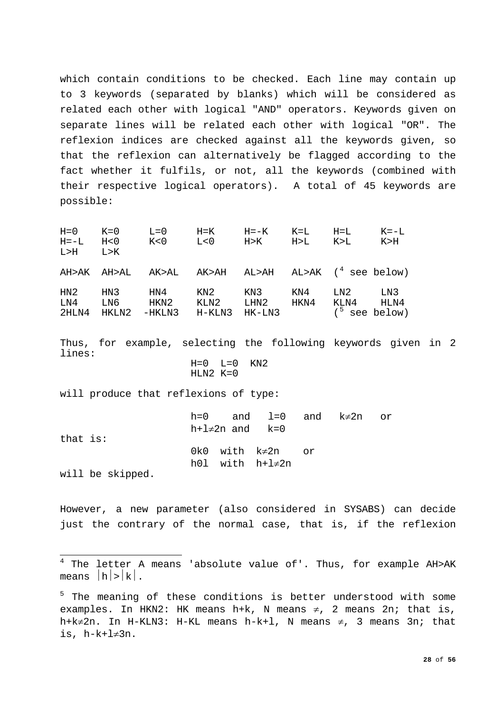which contain conditions to be checked. Each line may contain up to 3 keywords (separated by blanks) which will be considered as related each other with logical "AND" operators. Keywords given on separate lines will be related each other with logical "OR". The reflexion indices are checked against all the keywords given, so that the reflexion can alternatively be flagged according to the fact whether it fulfils, or not, all the keywords (combined with their respective logical operators). A total of 45 keywords are possible:

H=0 K=0 L=0 H=K H=-K K=L H=L K=-L H=-L H<0 K<0 L<0 H>K H>L K>L K>H L>H L>K AH>AK AH>AL AK>AL AK>AH AL>AH AL>AK ([4](#page-27-0) see below) HN2 HN3 HN4 KN2 KN3 KN4 LN2 LN3 LN4 LN6 HKN2 KLN2 LHN2 HKN4 KLN4 HLN4 2HLN4 HKLN2 -HKLN3 H-KLN3 HK-LN3 ([5](#page-27-1) see below)

Thus, for example, selecting the following keywords given in 2 lines:

```
H=0 L=0 KN2HLN2 K=0
```
will produce that reflexions of type:

|                  |                       | $h=0$ and $l=0$ and $k\neq 2n$ or |  |  |
|------------------|-----------------------|-----------------------------------|--|--|
|                  | h+l $\neq$ 2n and k=0 |                                   |  |  |
| that is:         |                       |                                   |  |  |
|                  |                       | 0k0 with $k\neq 2n$ or            |  |  |
|                  |                       | h01 with h+l≠2n                   |  |  |
| will be skipped. |                       |                                   |  |  |

However, a new parameter (also considered in SYSABS) can decide just the contrary of the normal case, that is, if the reflexion

<span id="page-27-0"></span> $\frac{1}{1}$  $4$  The letter A means 'absolute value of'. Thus, for example AH>AK means  $|h|>|k|$ .

<span id="page-27-1"></span><sup>&</sup>lt;sup>5</sup> The meaning of these conditions is better understood with some examples. In HKN2: HK means h+k, N means  $\neq$ , 2 means 2n; that is, h+k≠2n. In H-KLN3: H-KL means h-k+1, N means  $\neq$ , 3 means 3n; that is, h-k+l≠3n.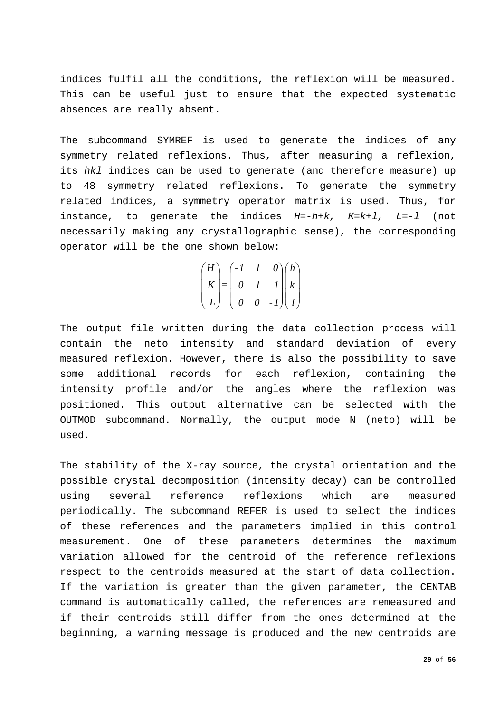indices fulfil all the conditions, the reflexion will be measured. This can be useful just to ensure that the expected systematic absences are really absent.

The subcommand SYMREF is used to generate the indices of any symmetry related reflexions. Thus, after measuring a reflexion, its *hkl* indices can be used to generate (and therefore measure) up to 48 symmetry related reflexions. To generate the symmetry related indices, a symmetry operator matrix is used. Thus, for instance, to generate the indices *H=-h+k, K=k+l, L=-l* (not necessarily making any crystallographic sense), the corresponding operator will be the one shown below:

$$
\begin{pmatrix} H \\ K \\ L \end{pmatrix} = \begin{pmatrix} -I & I & 0 \\ 0 & I & I \\ 0 & 0 & -I \end{pmatrix} \begin{pmatrix} h \\ k \\ l \end{pmatrix}
$$

The output file written during the data collection process will contain the neto intensity and standard deviation of every measured reflexion. However, there is also the possibility to save some additional records for each reflexion, containing the intensity profile and/or the angles where the reflexion was positioned. This output alternative can be selected with the OUTMOD subcommand. Normally, the output mode N (neto) will be used.

The stability of the X-ray source, the crystal orientation and the possible crystal decomposition (intensity decay) can be controlled using several reference reflexions which are measured periodically. The subcommand REFER is used to select the indices of these references and the parameters implied in this control measurement. One of these parameters determines the maximum variation allowed for the centroid of the reference reflexions respect to the centroids measured at the start of data collection. If the variation is greater than the given parameter, the CENTAB command is automatically called, the references are remeasured and if their centroids still differ from the ones determined at the beginning, a warning message is produced and the new centroids are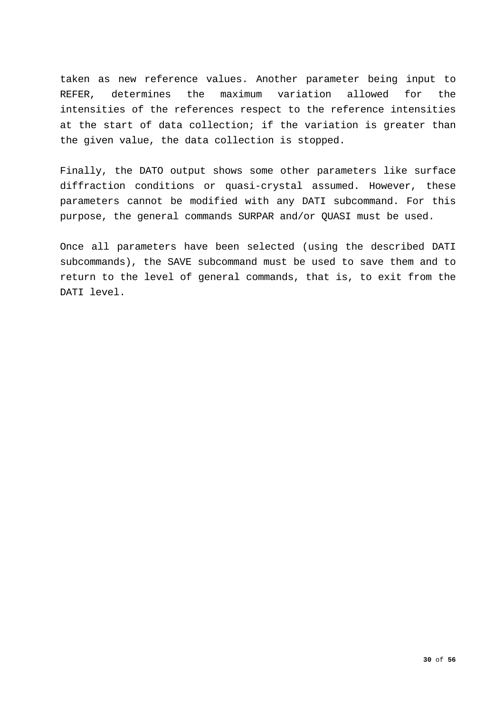taken as new reference values. Another parameter being input to REFER, determines the maximum variation allowed for the intensities of the references respect to the reference intensities at the start of data collection; if the variation is greater than the given value, the data collection is stopped.

Finally, the DATO output shows some other parameters like surface diffraction conditions or quasi-crystal assumed. However, these parameters cannot be modified with any DATI subcommand. For this purpose, the general commands SURPAR and/or QUASI must be used.

Once all parameters have been selected (using the described DATI subcommands), the SAVE subcommand must be used to save them and to return to the level of general commands, that is, to exit from the DATI level.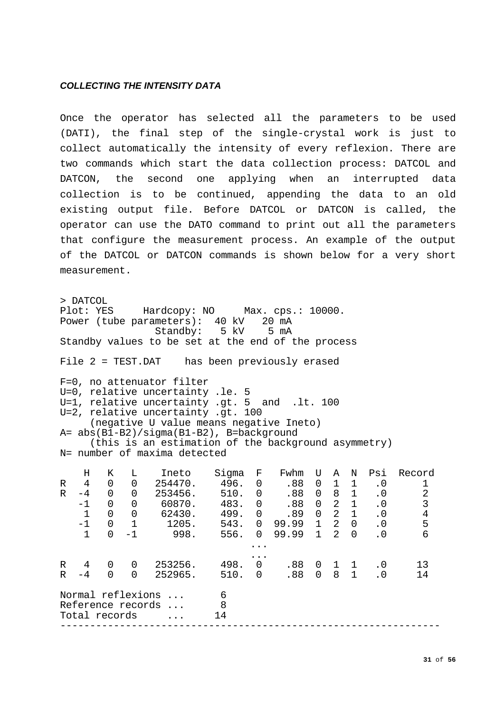## <span id="page-30-0"></span>*COLLECTING THE INTENSITY DATA*

Once the operator has selected all the parameters to be used (DATI), the final step of the single-crystal work is just to collect automatically the intensity of every reflexion. There are two commands which start the data collection process: DATCOL and DATCON, the second one applying when an interrupted data collection is to be continued, appending the data to an old existing output file. Before DATCOL or DATCON is called, the operator can use the DATO command to print out all the parameters that configure the measurement process. An example of the output of the DATCOL or DATCON commands is shown below for a very short measurement.

> DATCOL<br>Plot: YES Hardcopy: NO Max. cps.: 10000. Power (tube parameters): 40 kV 20 mA<br>Standby: 5 kV 5 mA  $Standby: 5 kV$ Standby values to be set at the end of the process File 2 = TEST.DAT has been previously erased F=0, no attenuator filter U=0, relative uncertainty .le. 5 U=1, relative uncertainty .gt. 5 and .lt. 100 U=2, relative uncertainty .gt. 100 (negative U value means negative Ineto) A= abs(B1-B2)/sigma(B1-B2), B=background (this is an estimation of the background asymmetry) N= number of maxima detected H K L Ineto Sigma F Fwhm U A N Psi Record<br>R 4 0 0 254470. 496. 0 .88 0 1 1 .0 1 R 4 0 0 254470. 496. 0 .88 0 1 1 .0 1<br>R -4 0 0 253456. 510. 0 .88 0 8 1 .0 2 8 10. 0 .88 0 8 1 .0 2<br>483. 0 .88 0 2 1 .0 3 -1 0 0 60870. 483. 0 .88 0 2 1 .0 3 1 0 0 62430. 499. 0 .89 0 2 1 .0 4<br>-1 0 1 1205. 543. 0 99.99 1 2 0 .0 5 -1 0 1 1205. 543. 0 99.99 1 2 0 .0 5<br>1 0 -1 998. 556. 0 99.99 1 2 0 .0 6 556. 0 99.99 1 2 0 ... ... R 4 0 0 253256. 498. 0 .88 0 1 1 .0 13 R -4 0 0 252965. 510. 0 .88 0 8 1 .0 14 Normal reflexions ... 6<br>Reference records ... 8 Reference records ... 8<br>Total records ... 14 Total records ... ----------------------------------------------------------------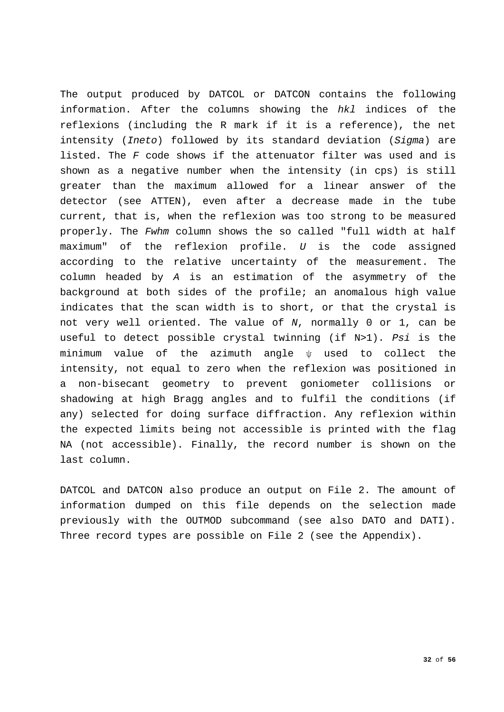The output produced by DATCOL or DATCON contains the following information. After the columns showing the *hkl* indices of the reflexions (including the R mark if it is a reference), the net intensity (*Ineto*) followed by its standard deviation (*Sigma*) are listed. The *F* code shows if the attenuator filter was used and is shown as a negative number when the intensity (in cps) is still greater than the maximum allowed for a linear answer of the detector (see ATTEN), even after a decrease made in the tube current, that is, when the reflexion was too strong to be measured properly. The *Fwhm* column shows the so called "full width at half maximum" of the reflexion profile. *U* is the code assigned according to the relative uncertainty of the measurement. The column headed by *A* is an estimation of the asymmetry of the background at both sides of the profile; an anomalous high value indicates that the scan width is to short, or that the crystal is not very well oriented. The value of *N*, normally 0 or 1, can be useful to detect possible crystal twinning (if N>1). *Psi* is the minimum value of the azimuth angle ψ used to collect the intensity, not equal to zero when the reflexion was positioned in a non-bisecant geometry to prevent goniometer collisions or shadowing at high Bragg angles and to fulfil the conditions (if any) selected for doing surface diffraction. Any reflexion within the expected limits being not accessible is printed with the flag NA (not accessible). Finally, the record number is shown on the last column.

DATCOL and DATCON also produce an output on File 2. The amount of information dumped on this file depends on the selection made previously with the OUTMOD subcommand (see also DATO and DATI). Three record types are possible on File 2 (see the Appendix).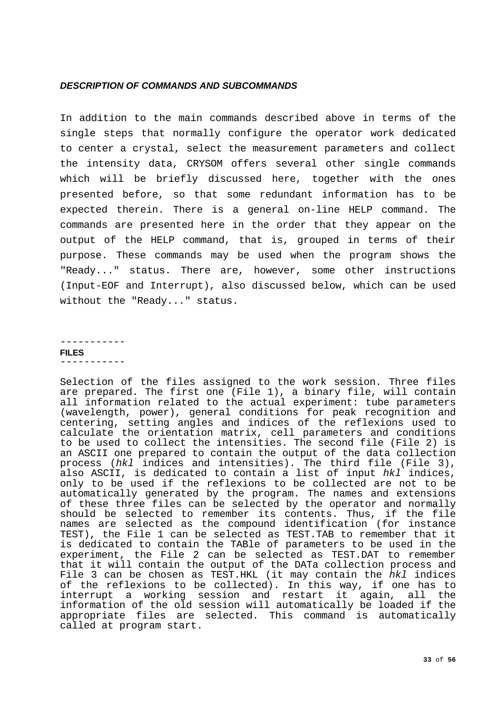## <span id="page-32-0"></span>*DESCRIPTION OF COMMANDS AND SUBCOMMANDS*

In addition to the main commands described above in terms of the single steps that normally configure the operator work dedicated to center a crystal, select the measurement parameters and collect the intensity data, CRYSOM offers several other single commands which will be briefly discussed here, together with the ones presented before, so that some redundant information has to be expected therein. There is a general on-line HELP command. The commands are presented here in the order that they appear on the output of the HELP command, that is, grouped in terms of their purpose. These commands may be used when the program shows the "Ready..." status. There are, however, some other instructions (Input-EOF and Interrupt), also discussed below, which can be used without the "Ready..." status.

<span id="page-32-1"></span>----------- **FILES**  -----------

Selection of the files assigned to the work session. Three files are prepared. The first one (File 1), a binary file, will contain all information related to the actual experiment: tube parameters (wavelength, power), general conditions for peak recognition and centering, setting angles and indices of the reflexions used to calculate the orientation matrix, cell parameters and conditions to be used to collect the intensities. The second file (File 2) is an ASCII one prepared to contain the output of the data collection process (*hkl* indices and intensities). The third file (File 3), also ASCII, is dedicated to contain a list of input *hkl* indices, only to be used if the reflexions to be collected are not to be automatically generated by the program. The names and extensions of these three files can be selected by the operator and normally should be selected to remember its contents. Thus, if the file names are selected as the compound identification (for instance TEST), the File 1 can be selected as TEST.TAB to remember that it is dedicated to contain the TABle of parameters to be used in the experiment, the File 2 can be selected as TEST.DAT to remember that it will contain the output of the DATa collection process and File 3 can be chosen as TEST.HKL (it may contain the *hkl* indices of the reflexions to be collected). In this way, if one has to interrupt a working session and restart it again, all the information of the old session will automatically be loaded if the appropriate files are selected. This command is automatically called at program start.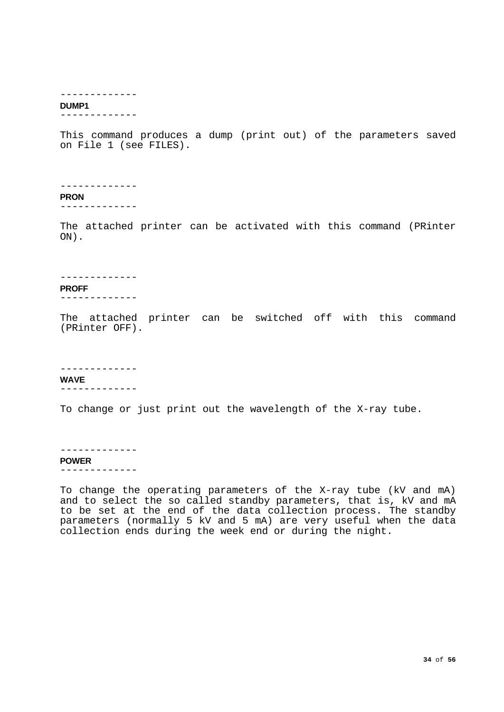#### -------------

## <span id="page-33-0"></span>**DUMP1**

-------------

This command produces a dump (print out) of the parameters saved on File 1 (see FILES).

-------------

<span id="page-33-1"></span>**PRON**

-------------

The attached printer can be activated with this command (PRinter ON).

-------------

## <span id="page-33-2"></span>**PROFF**

-------------

The attached printer can be switched off with this command (PRinter OFF).

#### -------------

<span id="page-33-3"></span>**WAVE**

-------------

To change or just print out the wavelength of the X-ray tube.

## -------------

<span id="page-33-4"></span>**POWER**

-------------

To change the operating parameters of the X-ray tube (kV and mA) and to select the so called standby parameters, that is, kV and mA to be set at the end of the data collection process. The standby parameters (normally 5 kV and 5 mA) are very useful when the data collection ends during the week end or during the night.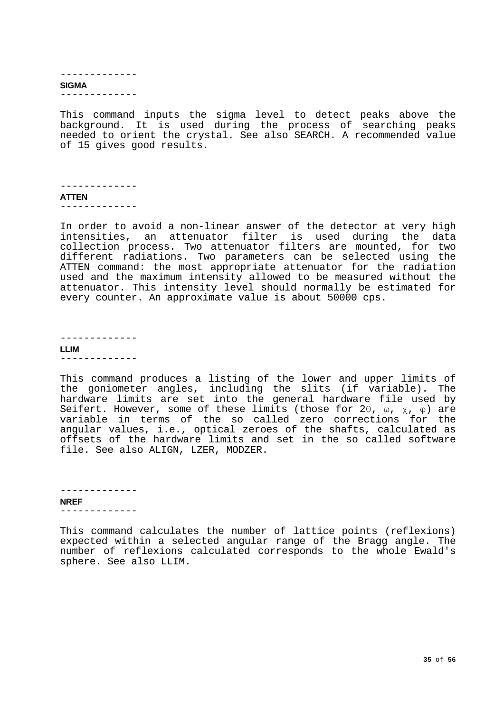#### <span id="page-34-0"></span>------------- **SIGMA** -------------

This command inputs the sigma level to detect peaks above the background. It is used during the process of searching peaks needed to orient the crystal. See also SEARCH. A recommended value of 15 gives good results.

### -------------

<span id="page-34-1"></span>**ATTEN**

-------------

In order to avoid a non-linear answer of the detector at very high intensities, an attenuator filter is used during the data collection process. Two attenuator filters are mounted, for two different radiations. Two parameters can be selected using the ATTEN command: the most appropriate attenuator for the radiation used and the maximum intensity allowed to be measured without the attenuator. This intensity level should normally be estimated for every counter. An approximate value is about 50000 cps.

------------- **LLIM**

<span id="page-34-2"></span>-------------

This command produces a listing of the lower and upper limits of the goniometer angles, including the slits (if variable). The hardware limits are set into the general hardware file used by Seifert. However, some of these limits (those for 2 $\theta$ ,  $\omega$ ,  $\chi$ ,  $\varphi$ ) are variable in terms of the so called zero corrections for the angular values, i.e., optical zeroes of the shafts, calculated as offsets of the hardware limits and set in the so called software file. See also ALIGN, LZER, MODZER.

<span id="page-34-3"></span>------------- **NREF** -------------

This command calculates the number of lattice points (reflexions) expected within a selected angular range of the Bragg angle. The number of reflexions calculated corresponds to the whole Ewald's sphere. See also LLIM.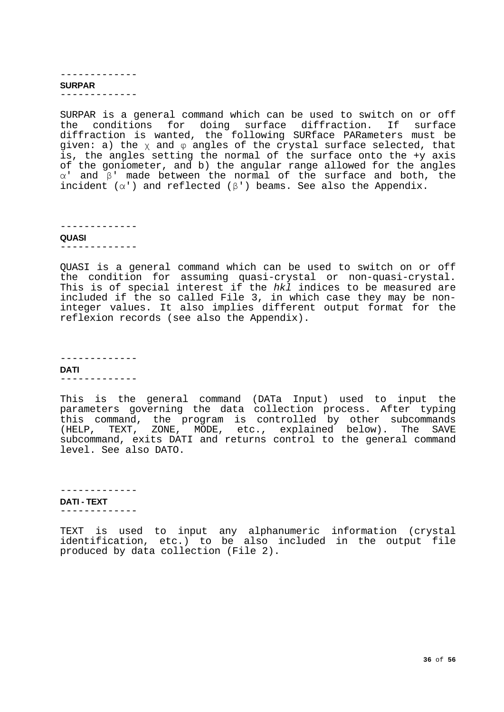#### <span id="page-35-0"></span>------------- **SURPAR** -------------

SURPAR is a general command which can be used to switch on or off the conditions for doing surface diffraction. If surface diffraction is wanted, the following SURface PARameters must be given: a) the χ and φ angles of the crystal surface selected, that is, the angles setting the normal of the surface onto the +y axis of the goniometer, and b) the angular range allowed for the angles α' and β' made between the normal of the surface and both, the incident  $(\alpha')$  and reflected  $(\beta')$  beams. See also the Appendix.

-------------

#### <span id="page-35-1"></span>**QUASI**

-------------

QUASI is a general command which can be used to switch on or off the condition for assuming quasi-crystal or non-quasi-crystal. This is of special interest if the *hkl* indices to be measured are included if the so called File 3, in which case they may be noninteger values. It also implies different output format for the reflexion records (see also the Appendix).

<span id="page-35-2"></span>------------- **DATI** -------------

This is the general command (DATa Input) used to input the parameters governing the data collection process. After typing this command, the program is controlled by other subcommands (HELP, TEXT, ZONE, MODE, etc., explained below). The SAVE subcommand, exits DATI and returns control to the general command level. See also DATO.

<span id="page-35-3"></span>------------- **DATI - TEXT** -------------

TEXT is used to input any alphanumeric information (crystal identification, etc.) to be also included in the output file produced by data collection (File 2).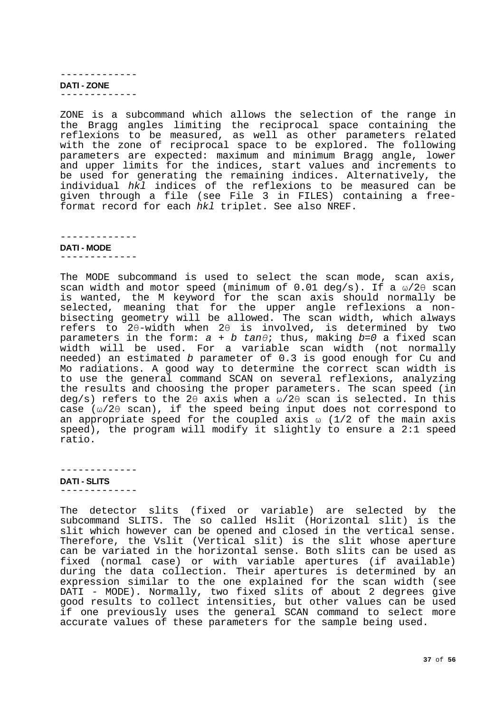<span id="page-36-0"></span>------------- **DATI - ZONE** -------------

ZONE is a subcommand which allows the selection of the range in the Bragg angles limiting the reciprocal space containing the reflexions to be measured, as well as other parameters related with the zone of reciprocal space to be explored. The following parameters are expected: maximum and minimum Bragg angle, lower and upper limits for the indices, start values and increments to be used for generating the remaining indices. Alternatively, the individual *hkl* indices of the reflexions to be measured can be given through a file (see File 3 in FILES) containing a freeformat record for each *hkl* triplet. See also NREF.

-------------

<span id="page-36-1"></span>**DATI - MODE**

-------------

The MODE subcommand is used to select the scan mode, scan axis, scan width and motor speed (minimum of 0.01 deg/s). If a  $\omega/2\theta$  scan is wanted, the M keyword for the scan axis should normally be selected, meaning that for the upper angle reflexions a nonbisecting geometry will be allowed. The scan width, which always refers to 2θ-width when 2θ is involved, is determined by two parameters in the form: *a + b tanθ*; thus, making *b=0* a fixed scan width will be used. For a variable scan width (not normally needed) an estimated *b* parameter of 0.3 is good enough for Cu and Mo radiations. A good way to determine the correct scan width is to use the general command SCAN on several reflexions, analyzing the results and choosing the proper parameters. The scan speed (in deg/s) refers to the 2θ axis when a ω/2θ scan is selected. In this case (ω/2θ scan), if the speed being input does not correspond to an appropriate speed for the coupled axis  $\omega$  (1/2 of the main axis speed), the program will modify it slightly to ensure a 2:1 speed ratio.

-------------

<span id="page-36-2"></span>**DATI - SLITS** -------------

The detector slits (fixed or variable) are selected by the subcommand SLITS. The so called Hslit (Horizontal slit) is the slit which however can be opened and closed in the vertical sense. Therefore, the Vslit (Vertical slit) is the slit whose aperture can be variated in the horizontal sense. Both slits can be used as fixed (normal case) or with variable apertures (if available) during the data collection. Their apertures is determined by an expression similar to the one explained for the scan width (see DATI - MODE). Normally, two fixed slits of about 2 degrees give good results to collect intensities, but other values can be used if one previously uses the general SCAN command to select more accurate values of these parameters for the sample being used.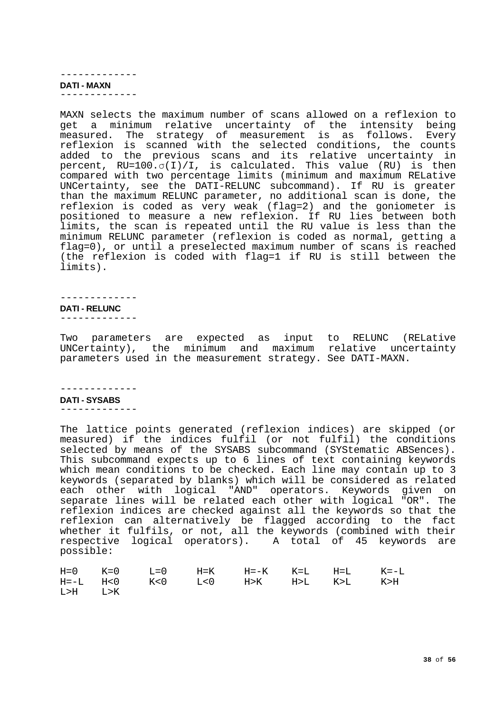#### <span id="page-37-0"></span>------------- **DATI - MAXN** -------------

MAXN selects the maximum number of scans allowed on a reflexion to get a minimum relative uncertainty of the intensity being measured. The strategy of measurement is as follows. Every reflexion is scanned with the selected conditions, the counts added to the previous scans and its relative uncertainty in percent, RU=100.σ(I)/I, is calculated. This value (RU) is then compared with two percentage limits (minimum and maximum RELative UNCertainty, see the DATI-RELUNC subcommand). If RU is greater than the maximum RELUNC parameter, no additional scan is done, the reflexion is coded as very weak (flag=2) and the goniometer is positioned to measure a new reflexion. If RU lies between both limits, the scan is repeated until the RU value is less than the minimum RELUNC parameter (reflexion is coded as normal, getting a flag=0), or until a preselected maximum number of scans is reached (the reflexion is coded with flag=1 if RU is still between the limits).

#### ------------- **DATI - RELUNC**

<span id="page-37-1"></span>-------------

Two parameters are expected as input to RELUNC (RELative UNCertainty), the minimum and maximum relative uncertainty parameters used in the measurement strategy. See DATI-MAXN.

# -------------

## <span id="page-37-2"></span>**DATI - SYSABS**

-------------

The lattice points generated (reflexion indices) are skipped (or measured) if the indices fulfil (or not fulfil) the conditions selected by means of the SYSABS subcommand (SYStematic ABSences). This subcommand expects up to 6 lines of text containing keywords which mean conditions to be checked. Each line may contain up to 3 keywords (separated by blanks) which will be considered as related each other with logical "AND" operators. Keywords given on separate lines will be related each other with logical "OR". The reflexion indices are checked against all the keywords so that the reflexion can alternatively be flagged according to the fact whether it fulfils, or not, all the keywords (combined with their respective logical operators). A total of 45 keywords are possible:

|         | $H=0$ $K=0$ $L=0$ $H=K$ $H=-K$ $K=L$ $H=L$ $K=-L$ |  |  |  |
|---------|---------------------------------------------------|--|--|--|
|         | $H=-L$ H<0 K<0 L<0 H>K H>L K>L K>H                |  |  |  |
| L>H L>K |                                                   |  |  |  |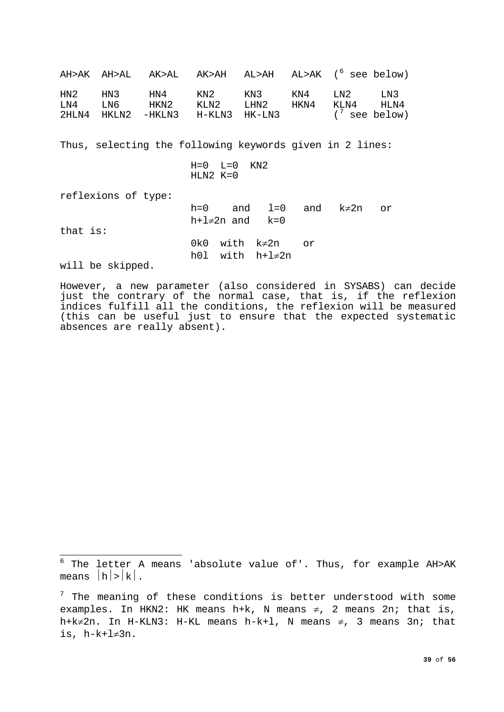AH>AK AH>AL AK>AL AK>AH AL>AH AL>AK ([6](#page-38-0) see below) HN2 HN3 HN4 KN2 KN3 KN4 LN2 LN3 LN4 LN6 HKN2 KLN2 LHN2 HKN4 KLN4 HLN4  $2HLM4$  HKLN2 -HKLN3 H-KLN3 HK-LN3  $(7 \text{ see below})$  $(7 \text{ see below})$  $(7 \text{ see below})$ Thus, selecting the following keywords given in 2 lines:  $H=0$   $L=0$   $KN2$  $HLM2 K=0$ reflexions of type: h=0 and l=0 and k≠2n or h+l $\neq$ 2n and k=0 that is: 0k0 with k≠2n or h0l with h+l≠2n will be skipped.

However, a new parameter (also considered in SYSABS) can decide just the contrary of the normal case, that is, if the reflexion indices fulfill all the conditions, the reflexion will be measured (this can be useful just to ensure that the expected systematic absences are really absent).

<span id="page-38-0"></span> $\frac{1}{6}$  $^6$  The letter A means 'absolute value of'. Thus, for example AH>AK means  $|h|>|k|$ .

<span id="page-38-1"></span> $7$  The meaning of these conditions is better understood with some examples. In HKN2: HK means h+k, N means  $\neq$ , 2 means 2n; that is, h+k≠2n. In H-KLN3: H-KL means h-k+1, N means  $\neq$ , 3 means 3n; that is, h-k+l≠3n.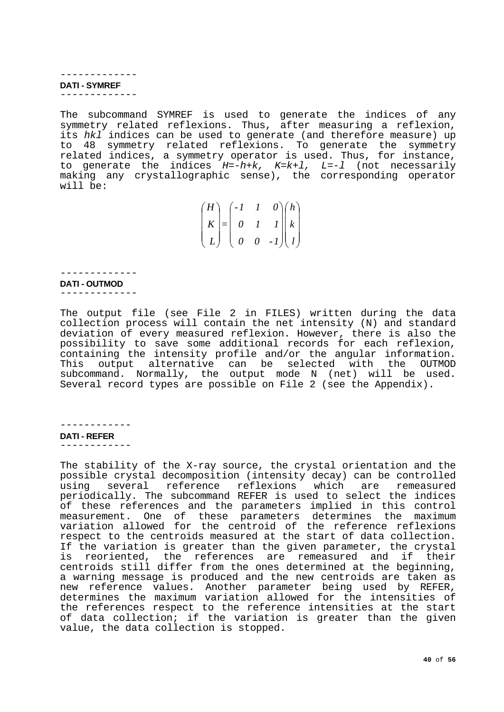<span id="page-39-0"></span>------------- **DATI - SYMREF** -------------

The subcommand SYMREF is used to generate the indices of any symmetry related reflexions. Thus, after measuring a reflexion, its *hkl* indices can be used to generate (and therefore measure) up to 48 symmetry related reflexions. To generate the symmetry related indices, a symmetry operator is used. Thus, for instance, to generate the indices *H=-h+k, K=k+l, L=-l* (not necessarily making any crystallographic sense), the corresponding operator will be:

| (H)                 | $\left( -1\right)$                | $\boldsymbol{l}$ |                                                                        | 0 (h)                     |
|---------------------|-----------------------------------|------------------|------------------------------------------------------------------------|---------------------------|
| $\mid K \mid =$     | $\begin{array}{cc} 0 \end{array}$ |                  |                                                                        | $I \parallel k \parallel$ |
| $\lfloor L \rfloor$ | $\begin{pmatrix} 0 \end{pmatrix}$ |                  | $\begin{bmatrix} 0 & -1 \end{bmatrix} \begin{bmatrix} l \end{bmatrix}$ |                           |

## ------------- **DATI - OUTMOD**

<span id="page-39-1"></span>-------------

The output file (see File 2 in FILES) written during the data collection process will contain the net intensity (N) and standard deviation of every measured reflexion. However, there is also the possibility to save some additional records for each reflexion, containing the intensity profile and/or the angular information. This output alternative can be selected with the OUTMOD subcommand. Normally, the output mode N (net) will be used. Several record types are possible on File 2 (see the Appendix).

------------

<span id="page-39-2"></span>**DATI - REFER** ------------

The stability of the X-ray source, the crystal orientation and the possible crystal decomposition (intensity decay) can be controlled several reference reflexions which are remeasured periodically. The subcommand REFER is used to select the indices of these references and the parameters implied in this control measurement. One of these parameters determines the maximum variation allowed for the centroid of the reference reflexions respect to the centroids measured at the start of data collection. If the variation is greater than the given parameter, the crystal is reoriented, the references are remeasured and if their<br>centroids still differ from the ones-determined at the beginning, a warning message is produced and the new centroids are taken as new reference values. Another parameter being used by REFER, determines the maximum variation allowed for the intensities of the references respect to the reference intensities at the start of data collection; if the variation is greater than the given value, the data collection is stopped.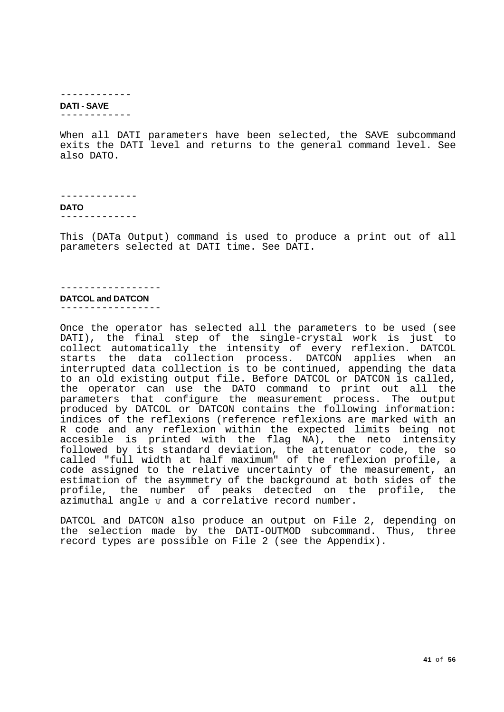------------

## <span id="page-40-0"></span>**DATI - SAVE**

------------

When all DATI parameters have been selected, the SAVE subcommand exits the DATI level and returns to the general command level. See also DATO.

<span id="page-40-1"></span>------------- **DATO** -------------

This (DATa Output) command is used to produce a print out of all parameters selected at DATI time. See DATI.

# -----------------

<span id="page-40-2"></span>**DATCOL and DATCON** -----------------

Once the operator has selected all the parameters to be used (see DATI), the final step of the single-crystal work is just to collect automatically the intensity of every reflexion. DATCOL starts the data collection process. DATCON applies when an interrupted data collection is to be continued, appending the data to an old existing output file. Before DATCOL or DATCON is called, the operator can use the DATO command to print out all the parameters that configure the measurement process. The output produced by DATCOL or DATCON contains the following information: indices of the reflexions (reference reflexions are marked with an R code and any reflexion within the expected limits being not accesible is printed with the flag NA), the neto intensity followed by its standard deviation, the attenuator code, the so called "full width at half maximum" of the reflexion profile, a code assigned to the relative uncertainty of the measurement, an estimation of the asymmetry of the background at both sides of the profile, the number of peaks detected on the profile, the azimuthal angle ψ and a correlative record number.

DATCOL and DATCON also produce an output on File 2, depending on the selection made by the DATI-OUTMOD subcommand. Thus, three record types are possible on File 2 (see the Appendix).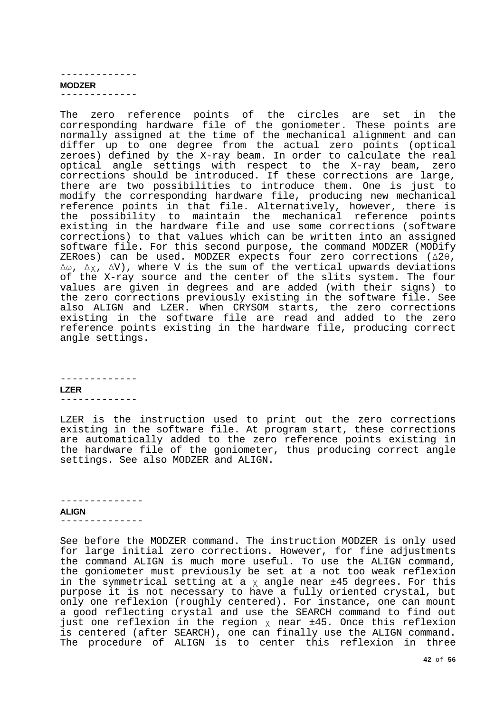#### ------------- **MODZER**

<span id="page-41-0"></span>-------------

The zero reference points of the circles are set in the corresponding hardware file of the goniometer. These points are normally assigned at the time of the mechanical alignment and can differ up to one degree from the actual zero points (optical zeroes) defined by the X-ray beam. In order to calculate the real optical angle settings with respect to the X-ray beam, zero corrections should be introduced. If these corrections are large, there are two possibilities to introduce them. One is just to modify the corresponding hardware file, producing new mechanical reference points in that file. Alternatively, however, there is the possibility to maintain the mechanical reference points existing in the hardware file and use some corrections (software corrections) to that values which can be written into an assigned software file. For this second purpose, the command MODZER (MODify ZERoes) can be used. MODZER expects four zero corrections (Δ2θ, Δω, Δχ, ΔV), where V is the sum of the vertical upwards deviations of the X-ray source and the center of the slits system. The four values are given in degrees and are added (with their signs) to the zero corrections previously existing in the software file. See also ALIGN and LZER. When CRYSOM starts, the zero corrections existing in the software file are read and added to the zero reference points existing in the hardware file, producing correct angle settings.

<span id="page-41-1"></span>------------- **LZER** -------------

LZER is the instruction used to print out the zero corrections existing in the software file. At program start, these corrections are automatically added to the zero reference points existing in the hardware file of the goniometer, thus producing correct angle settings. See also MODZER and ALIGN.

# --------------

<span id="page-41-2"></span>**ALIGN** --------------

See before the MODZER command. The instruction MODZER is only used for large initial zero corrections. However, for fine adjustments the command ALIGN is much more useful. To use the ALIGN command, the goniometer must previously be set at a not too weak reflexion in the symmetrical setting at a  $\chi$  angle near  $\pm 45$  degrees. For this purpose it is not necessary to have a fully oriented crystal, but only one reflexion (roughly centered). For instance, one can mount a good reflecting crystal and use the SEARCH command to find out just one reflexion in the region  $\chi$  near  $\pm 45$ . Once this reflexion is centered (after SEARCH), one can finally use the ALIGN command. The procedure of ALIGN is to center this reflexion in three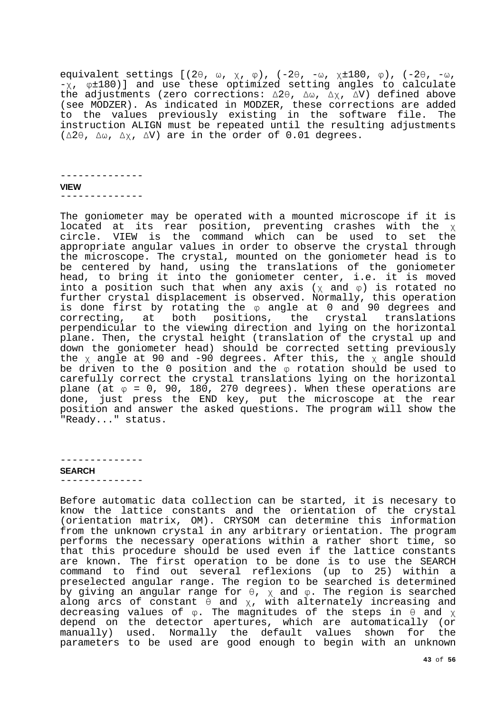equivalent settings [(2θ, ω, χ, φ), (-2θ, -ω, χ±180, φ), (-2θ, -ω, -χ, φ±180)] and use these optimized setting angles to calculate the adjustments (zero corrections: Δ2θ, Δω, Δχ, ΔV) defined above (see MODZER). As indicated in MODZER, these corrections are added to the values previously existing in the software file. The instruction ALIGN must be repeated until the resulting adjustments (Δ2θ, Δω, Δχ, ΔV) are in the order of 0.01 degrees.

<span id="page-42-0"></span>-------------- **VIEW** --------------

The goniometer may be operated with a mounted microscope if it is located at its rear position, preventing crashes with the χ circle. VIEW is the command which can be used to set the appropriate angular values in order to observe the crystal through the microscope. The crystal, mounted on the goniometer head is to be centered by hand, using the translations of the goniometer head, to bring it into the goniometer center, i.e. it is moved into a position such that when any axis ( $\chi$  and  $\varphi$ ) is rotated no further crystal displacement is observed. Normally, this operation is done first by rotating the φ angle at 0 and 90 degrees and correcting, at both positions, the crystal translations perpendicular to the viewing direction and lying on the horizontal plane. Then, the crystal height (translation of the crystal up and down the goniometer head) should be corrected setting previously the χ angle at 90 and -90 degrees. After this, the χ angle should be driven to the 0 position and the φ rotation should be used to carefully correct the crystal translations lying on the horizontal  $p$ lane (at  $\varphi = 0$ , 90, 180, 270 degrees). When these operations are done, just press the END key, put the microscope at the rear position and answer the asked questions. The program will show the "Ready..." status.

#### -------------- **SEARCH**

<span id="page-42-1"></span>--------------

Before automatic data collection can be started, it is necesary to know the lattice constants and the orientation of the crystal (orientation matrix, OM). CRYSOM can determine this information from the unknown crystal in any arbitrary orientation. The program performs the necessary operations within a rather short time, so that this procedure should be used even if the lattice constants are known. The first operation to be done is to use the SEARCH command to find out several reflexions (up to 25) within a preselected angular range. The region to be searched is determined by giving an angular range for  $\theta$ ,  $\chi$  and  $\varphi$ . The region is searched along arcs of constant  $\theta$  and  $\chi$ , with alternately increasing and decreasing values of  $\varphi$ . The magnitudes of the steps in  $\theta$  and  $\chi$ depend on the detector apertures, which are automatically (or manually) used. Normally the default values shown for the parameters to be used are good enough to begin with an unknown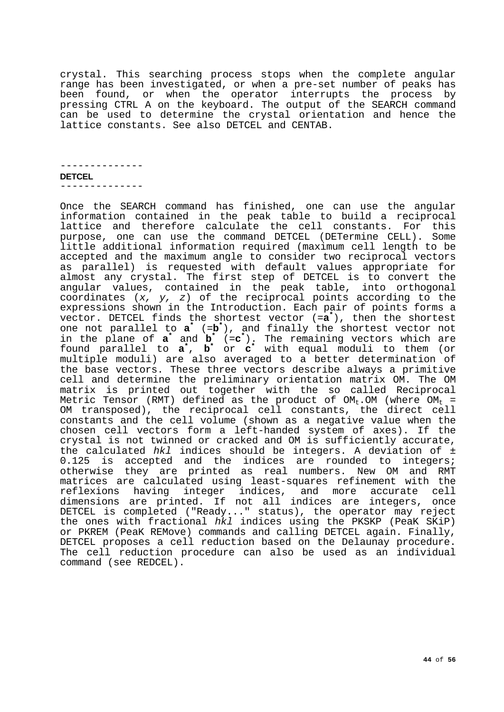crystal. This searching process stops when the complete angular range has been investigated, or when a pre-set number of peaks has been found, or when the operator interrupts the process by pressing CTRL A on the keyboard. The output of the SEARCH command can be used to determine the crystal orientation and hence the lattice constants. See also DETCEL and CENTAB.

<span id="page-43-0"></span>-------------- **DETCEL** --------------

Once the SEARCH command has finished, one can use the angular information contained in the peak table to build a reciprocal lattice and therefore calculate the cell constants. For this purpose, one can use the command DETCEL (DETermine CELL). Some little additional information required (maximum cell length to be accepted and the maximum angle to consider two reciprocal vectors as parallel) is requested with default values appropriate for almost any crystal. The first step of DETCEL is to convert the angular values, contained in the peak table, into orthogonal coordinates (*x, y, z*) of the reciprocal points according to the expressions shown in the Introduction. Each pair of points forms a vector. DETCEL finds the shortest vector (=**a\*** ), then the shortest one not parallel to **a\*** (=**b\*** ), and finally the shortest vector not in the plane of **a\*** and **b\*** (=**c\*** ). The remaining vectors which are found parallel to **a\*** , **b\*** or **c\*** with equal moduli to them (or multiple moduli) are also averaged to a better determination of the base vectors. These three vectors describe always a primitive cell and determine the preliminary orientation matrix OM. The OM matrix is printed out together with the so called Reciprocal Metric Tensor (RMT) defined as the product of  $OM_t$ . OM (where  $OM_t =$ OM transposed), the reciprocal cell constants, the direct cell constants and the cell volume (shown as a negative value when the chosen cell vectors form a left-handed system of axes). If the crystal is not twinned or cracked and OM is sufficiently accurate, the calculated *hkl* indices should be integers. A deviation of ± 0.125 is accepted and the indices are rounded to integers; otherwise they are printed as real numbers. New OM and RMT matrices are calculated using least-squares refinement with the reflexions having integer indices, and more accurate cell dimensions are printed. If not all indices are integers, once DETCEL is completed ("Ready..." status), the operator may reject the ones with fractional *hkl* indices using the PKSKP (PeaK SKiP) or PKREM (PeaK REMove) commands and calling DETCEL again. Finally, DETCEL proposes a cell reduction based on the Delaunay procedure. The cell reduction procedure can also be used as an individual command (see REDCEL).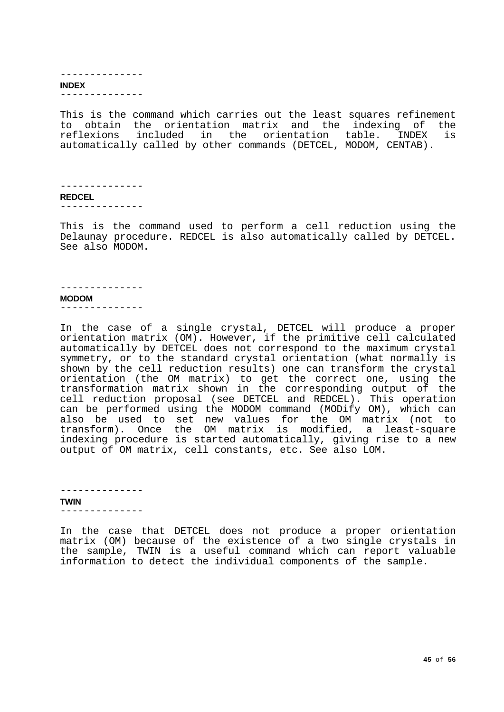<span id="page-44-0"></span>

| <b>INDEX</b> |  |  |  |  |
|--------------|--|--|--|--|
|              |  |  |  |  |

This is the command which carries out the least squares refinement to obtain the orientation matrix and the indexing of the<br>reflexions included in the orientation table. INDEX is reflexions included in the orientation table. INDEX automatically called by other commands (DETCEL, MODOM, CENTAB).

```
--------------
REDCEL
--------------
```
This is the command used to perform a cell reduction using the Delaunay procedure. REDCEL is also automatically called by DETCEL. See also MODOM.

#### --------------

#### <span id="page-44-2"></span>**MODOM**

--------------

In the case of a single crystal, DETCEL will produce a proper orientation matrix (OM). However, if the primitive cell calculated automatically by DETCEL does not correspond to the maximum crystal symmetry, or to the standard crystal orientation (what normally is shown by the cell reduction results) one can transform the crystal orientation (the OM matrix) to get the correct one, using the transformation matrix shown in the corresponding output of the cell reduction proposal (see DETCEL and REDCEL). This operation can be performed using the MODOM command (MODify OM), which can also be used to set new values for the OM matrix (not to transform). Once the OM matrix is modified, a least-square indexing procedure is started automatically, giving rise to a new output of OM matrix, cell constants, etc. See also LOM.

<span id="page-44-3"></span>-------------- **TWIN** --------------

In the case that DETCEL does not produce a proper orientation matrix (OM) because of the existence of a two single crystals in the sample, TWIN is a useful command which can report valuable information to detect the individual components of the sample.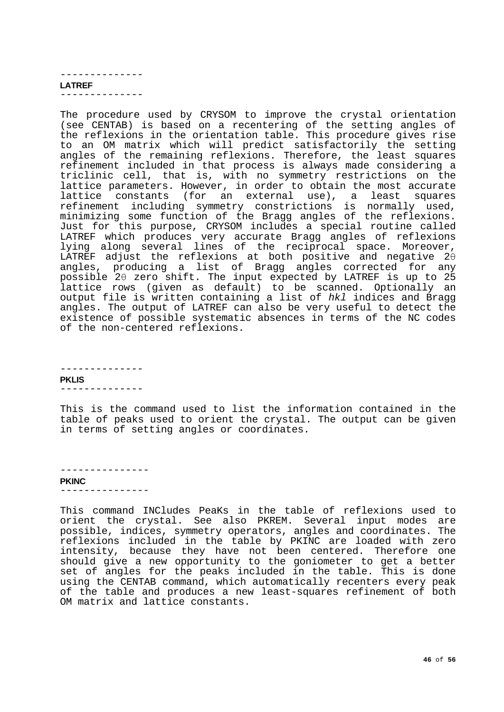#### <span id="page-45-0"></span>-------------- **LATREF** --------------

The procedure used by CRYSOM to improve the crystal orientation (see CENTAB) is based on a recentering of the setting angles of the reflexions in the orientation table. This procedure gives rise to an OM matrix which will predict satisfactorily the setting angles of the remaining reflexions. Therefore, the least squares refinement included in that process is always made considering a triclinic cell, that is, with no symmetry restrictions on the lattice parameters. However, in order to obtain the most accurate lattice constants (for an external use), a least squares refinement including symmetry constrictions is normally used, minimizing some function of the Bragg angles of the reflexions. Just for this purpose, CRYSOM includes a special routine called LATREF which produces very accurate Bragg angles of reflexions lying along several lines of the reciprocal space. Moreover, LATREF adjust the reflexions at both positive and negative 2θ angles, producing a list of Bragg angles corrected for any possible 2θ zero shift. The input expected by LATREF is up to 25 lattice rows (given as default) to be scanned. Optionally an output file is written containing a list of *hkl* indices and Bragg angles. The output of LATREF can also be very useful to detect the existence of possible systematic absences in terms of the NC codes of the non-centered reflexions.

<span id="page-45-1"></span>-------------- **PKLIS** --------------

This is the command used to list the information contained in the table of peaks used to orient the crystal. The output can be given in terms of setting angles or coordinates.

---------------

## <span id="page-45-2"></span>**PKINC**

---------------

This command INCludes PeaKs in the table of reflexions used to orient the crystal. See also PKREM. Several input modes are possible, indices, symmetry operators, angles and coordinates. The reflexions included in the table by PKINC are loaded with zero intensity, because they have not been centered. Therefore one should give a new opportunity to the goniometer to get a better set of angles for the peaks included in the table. This is done using the CENTAB command, which automatically recenters every peak of the table and produces a new least-squares refinement of both OM matrix and lattice constants.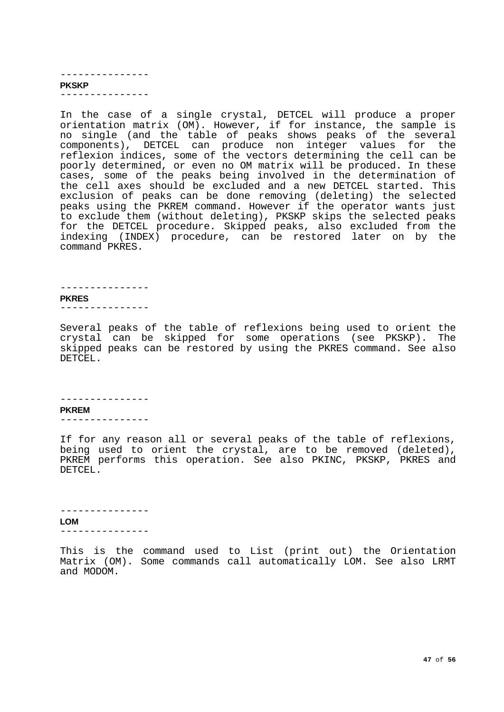#### <span id="page-46-0"></span>--------------- **PKSKP** ---------------

In the case of a single crystal, DETCEL will produce a proper orientation matrix (OM). However, if for instance, the sample is no single (and the table of peaks shows peaks of the several components), DETCEL can produce non integer values for the reflexion indices, some of the vectors determining the cell can be poorly determined, or even no OM matrix will be produced. In these cases, some of the peaks being involved in the determination of the cell axes should be excluded and a new DETCEL started. This exclusion of peaks can be done removing (deleting) the selected peaks using the PKREM command. However if the operator wants just to exclude them (without deleting), PKSKP skips the selected peaks for the DETCEL procedure. Skipped peaks, also excluded from the indexing (INDEX) procedure, can be restored later on by the command PKRES.

## ---------------

## <span id="page-46-1"></span>**PKRES**

---------------

Several peaks of the table of reflexions being used to orient the crystal can be skipped for some operations (see PKSKP). The skipped peaks can be restored by using the PKRES command. See also DETCEL.

#### ---------------

#### <span id="page-46-2"></span>**PKREM**

---------------

If for any reason all or several peaks of the table of reflexions, being used to orient the crystal, are to be removed (deleted), PKREM performs this operation. See also PKINC, PKSKP, PKRES and DETCEL.

--------------- **LOM**

<span id="page-46-3"></span>---------------

This is the command used to List (print out) the Orientation Matrix (OM). Some commands call automatically LOM. See also LRMT and MODOM.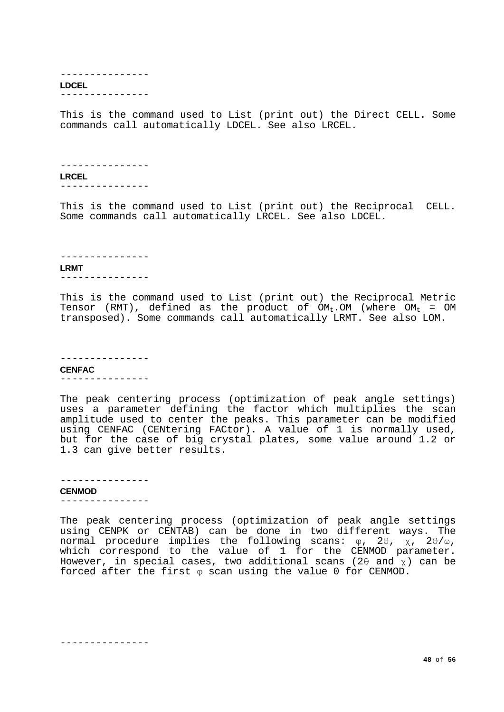#### <span id="page-47-0"></span>--------------- **LDCEL** ---------------

This is the command used to List (print out) the Direct CELL. Some commands call automatically LDCEL. See also LRCEL.

```
---------------
LRCEL
---------------
```
This is the command used to List (print out) the Reciprocal CELL. Some commands call automatically LRCEL. See also LDCEL.

#### <span id="page-47-2"></span>--------------- **LRMT** ---------------

This is the command used to List (print out) the Reciprocal Metric Tensor (RMT), defined as the product of  $OM_t$ . OM (where  $OM_t = OM$ transposed). Some commands call automatically LRMT. See also LOM.

#### <span id="page-47-3"></span>--------------- **CENFAC** ---------------

The peak centering process (optimization of peak angle settings) uses a parameter defining the factor which multiplies the scan amplitude used to center the peaks. This parameter can be modified using CENFAC (CENtering FACtor). A value of 1 is normally used, but for the case of big crystal plates, some value around 1.2 or 1.3 can give better results.

# ---------------

<span id="page-47-4"></span>**CENMOD** ---------------

The peak centering process (optimization of peak angle settings using CENPK or CENTAB) can be done in two different ways. The normal procedure implies the following scans: φ, 2θ, χ, 2θ/ω, which correspond to the value of 1 for the CENMOD parameter. However, in special cases, two additional scans (20 and  $\bar{x}$ ) can be forced after the first φ scan using the value 0 for CENMOD.

---------------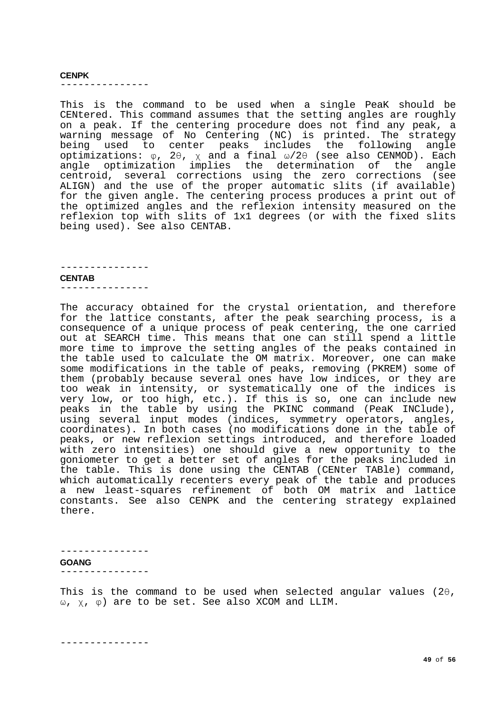#### <span id="page-48-0"></span>**CENPK**

---------------

This is the command to be used when a single PeaK should be CENtered. This command assumes that the setting angles are roughly on a peak. If the centering procedure does not find any peak, a warning message of No Centering (NC) is printed. The strategy being used to center peaks includes the following angle optimizations:  $\varphi$ , 2θ,  $\chi$  and a final  $\omega/2\theta$  (see also CENMOD). Each angle optimization implies the determination of the angle centroid, several corrections using the zero corrections (see ALIGN) and the use of the proper automatic slits (if available) for the given angle. The centering process produces a print out of the optimized angles and the reflexion intensity measured on the reflexion top with slits of 1x1 degrees (or with the fixed slits being used). See also CENTAB.

## <span id="page-48-1"></span>**CENTAB**

---------------

---------------

The accuracy obtained for the crystal orientation, and therefore for the lattice constants, after the peak searching process, is a consequence of a unique process of peak centering, the one carried out at SEARCH time. This means that one can still spend a little more time to improve the setting angles of the peaks contained in the table used to calculate the OM matrix. Moreover, one can make some modifications in the table of peaks, removing (PKREM) some of them (probably because several ones have low indices, or they are too weak in intensity, or systematically one of the indices is very low, or too high, etc.). If this is so, one can include new peaks in the table by using the PKINC command (PeaK INClude), using several input modes (indices, symmetry operators, angles, coordinates). In both cases (no modifications done in the table of peaks, or new reflexion settings introduced, and therefore loaded with zero intensities) one should give a new opportunity to the goniometer to get a better set of angles for the peaks included in the table. This is done using the CENTAB (CENter TABle) command, which automatically recenters every peak of the table and produces a new least-squares refinement of both OM matrix and lattice constants. See also CENPK and the centering strategy explained there.

<span id="page-48-2"></span>

| <b>GOANG</b> |  |  |  |
|--------------|--|--|--|
|              |  |  |  |

This is the command to be used when selected angular values (2θ, ω, χ, φ) are to be set. See also XCOM and LLIM.

---------------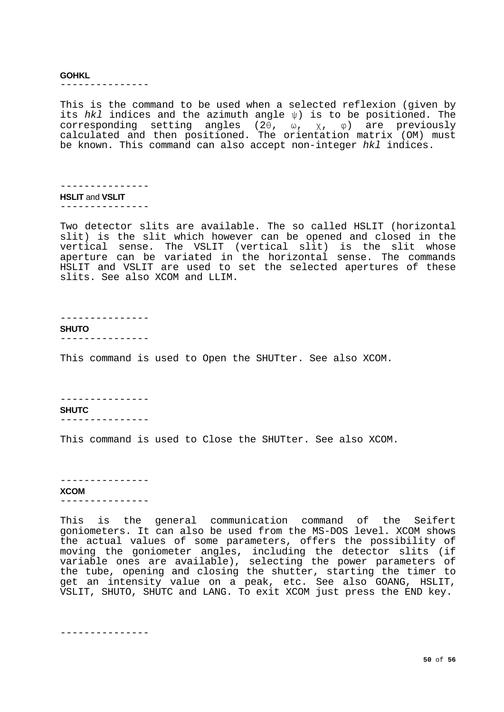#### <span id="page-49-0"></span>**GOHKL**

---------------

This is the command to be used when a selected reflexion (given by its *hkl* indices and the azimuth angle ψ) is to be positioned. The corresponding setting angles (2θ, ω, χ, φ) are previously calculated and then positioned. The orientation matrix (OM) must be known. This command can also accept non-integer *hkl* indices.

<span id="page-49-1"></span>--------------- **HSLIT** and **VSLIT** ---------------

Two detector slits are available. The so called HSLIT (horizontal slit) is the slit which however can be opened and closed in the vertical sense. The VSLIT (vertical slit) is the slit whose aperture can be variated in the horizontal sense. The commands HSLIT and VSLIT are used to set the selected apertures of these slits. See also XCOM and LLIM.

---------------

<span id="page-49-2"></span>**SHUTO**

---------------

This command is used to Open the SHUTter. See also XCOM.

---------------

<span id="page-49-3"></span>**SHUTC** ---------------

This command is used to Close the SHUTter. See also XCOM.

<span id="page-49-4"></span>--------------- **XCOM**

---------------

This is the general communication command of the Seifert goniometers. It can also be used from the MS-DOS level. XCOM shows the actual values of some parameters, offers the possibility of moving the goniometer angles, including the detector slits (if variable ones are available), selecting the power parameters of the tube, opening and closing the shutter, starting the timer to get an intensity value on a peak, etc. See also GOANG, HSLIT, VSLIT, SHUTO, SHUTC and LANG. To exit XCOM just press the END key.

---------------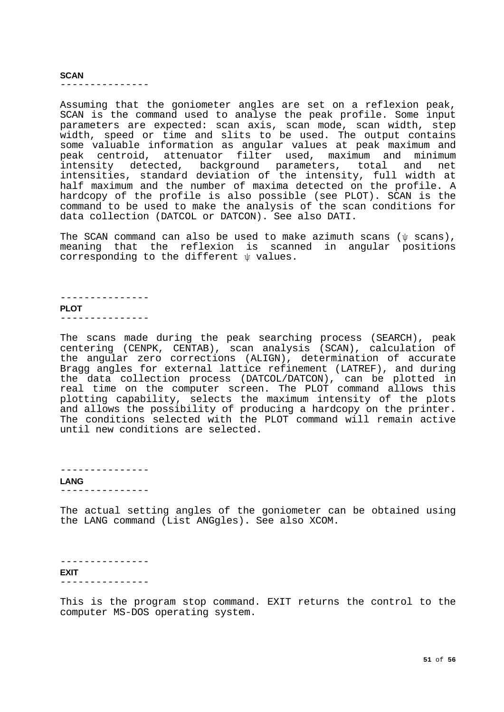#### <span id="page-50-0"></span>**SCAN**

---------------

Assuming that the goniometer angles are set on a reflexion peak, SCAN is the command used to analyse the peak profile. Some input parameters are expected: scan axis, scan mode, scan width, step width, speed or time and slits to be used. The output contains some valuable information as angular values at peak maximum and peak centroid, attenuator filter used, maximum and minimum intensity detected, background parameters, total and net intensities, standard deviation of the intensity, full width at half maximum and the number of maxima detected on the profile. A hardcopy of the profile is also possible (see PLOT). SCAN is the command to be used to make the analysis of the scan conditions for data collection (DATCOL or DATCON). See also DATI.

The SCAN command can also be used to make azimuth scans ( $\psi$  scans), meaning that the reflexion is scanned in angular positions corresponding to the different ψ values.

<span id="page-50-1"></span>--------------- **PLOT** ---------------

The scans made during the peak searching process (SEARCH), peak centering (CENPK, CENTAB), scan analysis (SCAN), calculation of the angular zero corrections (ALIGN), determination of accurate Bragg angles for external lattice refinement (LATREF), and during the data collection process (DATCOL/DATCON), can be plotted in real time on the computer screen. The PLOT command allows this plotting capability, selects the maximum intensity of the plots and allows the possibility of producing a hardcopy on the printer. The conditions selected with the PLOT command will remain active until new conditions are selected.

---------------

## <span id="page-50-2"></span>**LANG**

---------------

The actual setting angles of the goniometer can be obtained using the LANG command (List ANGgles). See also XCOM.

<span id="page-50-3"></span>--------------- **EXIT** ---------------

This is the program stop command. EXIT returns the control to the computer MS-DOS operating system.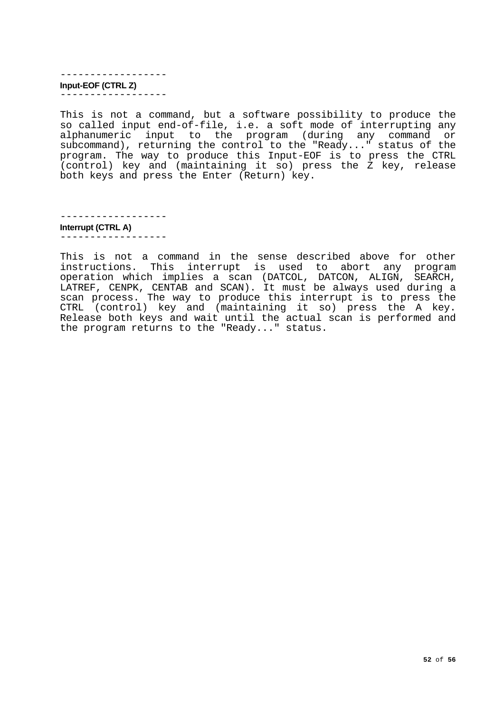<span id="page-51-0"></span>------------------ **Input-EOF (CTRL Z)** ------------------

This is not a command, but a software possibility to produce the so called input end-of-file, i.e. a soft mode of interrupting any alphanumeric input to the program (during any command or subcommand), returning the control to the "Ready..." status of the program. The way to produce this Input-EOF is to press the CTRL (control) key and (maintaining it so) press the Z key, release both keys and press the Enter (Return) key.

------------------

<span id="page-51-1"></span>**Interrupt (CTRL A)** ------------------

This is not a command in the sense described above for other instructions. This interrupt is used to abort any program operation which implies a scan (DATCOL, DATCON, ALIGN, SEARCH, LATREF, CENPK, CENTAB and SCAN). It must be always used during a scan process. The way to produce this interrupt is to press the CTRL (control) key and (maintaining it so) press the A key. Release both keys and wait until the actual scan is performed and the program returns to the "Ready..." status.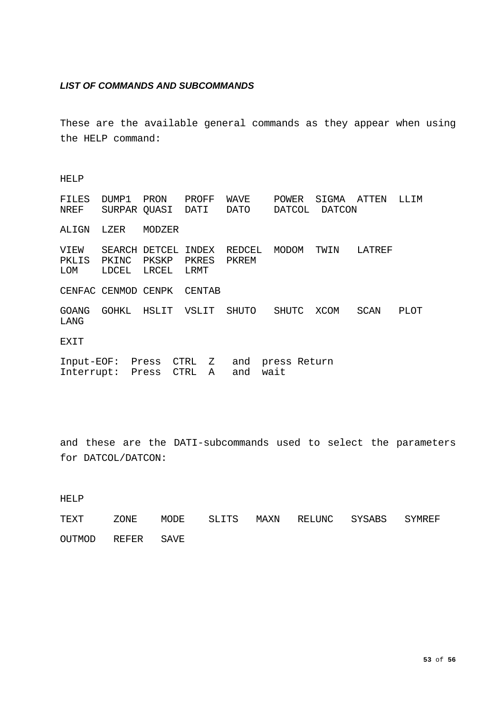## <span id="page-52-0"></span>*LIST OF COMMANDS AND SUBCOMMANDS*

These are the available general commands as they appear when using the HELP command:

## HELP

| FILES<br>NREF        | DUMP1<br>SURPAR QUASI                | PRON                 | PROFF<br>DATI       | WAVE<br>DATO    | POWER<br>DATCOL      | SIGMA<br>DATCON | ATTEN  | LLIM  |
|----------------------|--------------------------------------|----------------------|---------------------|-----------------|----------------------|-----------------|--------|-------|
| ALIGN                | LZER                                 | MODZER               |                     |                 |                      |                 |        |       |
| VIEW<br>PKLIS<br>LOM | SEARCH DETCEL<br>PKINC<br>LDCEL      | PKSKP PKRES<br>LRCEL | INDEX<br>LRMT       | REDCEL<br>PKREM | MODOM                | TWIN            | LATREF |       |
|                      | CENFAC CENMOD CENPK                  |                      | CENTAB              |                 |                      |                 |        |       |
| <b>GOANG</b><br>LANG | GOHKL                                | HSLIT                | VSLIT               | SHUTO           | SHUTC                | XCOM            | SCAN   | PLOT. |
| EXIT                 |                                      |                      |                     |                 |                      |                 |        |       |
|                      | Input-EOF: Press<br>Interrupt: Press |                      | CTRL Z<br>CTRL<br>A | and<br>and      | press Return<br>wait |                 |        |       |

and these are the DATI-subcommands used to select the parameters for DATCOL/DATCON:

HELP

TEXT ZONE MODE SLITS MAXN RELUNC SYSABS SYMREF OUTMOD REFER SAVE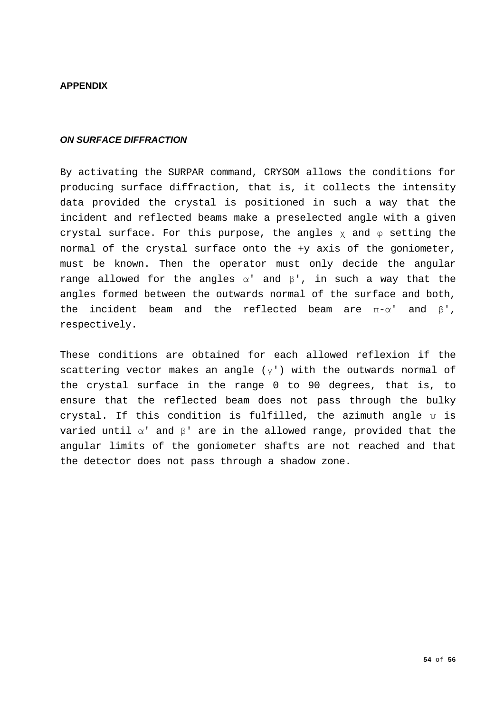## <span id="page-53-0"></span>**APPENDIX**

## <span id="page-53-1"></span>*ON SURFACE DIFFRACTION*

By activating the SURPAR command, CRYSOM allows the conditions for producing surface diffraction, that is, it collects the intensity data provided the crystal is positioned in such a way that the incident and reflected beams make a preselected angle with a given crystal surface. For this purpose, the angles  $\chi$  and  $\varphi$  setting the normal of the crystal surface onto the +y axis of the goniometer, must be known. Then the operator must only decide the angular range allowed for the angles  $\alpha'$  and  $\beta'$ , in such a way that the angles formed between the outwards normal of the surface and both, the incident beam and the reflected beam are  $\pi$ - $\alpha$ ' and  $\beta$ ', respectively.

These conditions are obtained for each allowed reflexion if the scattering vector makes an angle  $(y')$  with the outwards normal of the crystal surface in the range 0 to 90 degrees, that is, to ensure that the reflected beam does not pass through the bulky crystal. If this condition is fulfilled, the azimuth angle  $\psi$  is varied until  $\alpha'$  and  $\beta'$  are in the allowed range, provided that the angular limits of the goniometer shafts are not reached and that the detector does not pass through a shadow zone.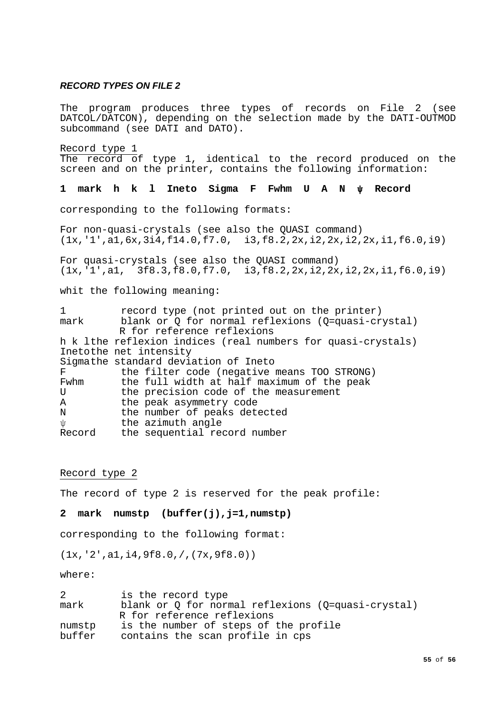## <span id="page-54-0"></span>*RECORD TYPES ON FILE 2*

The program produces three types of records on File 2 (see DATCOL/DATCON), depending on the selection made by the DATI-OUTMOD subcommand (see DATI and DATO).

Record type 1 The record of type 1, identical to the record produced on the screen and on the printer, contains the following information:

**1 mark h k l Ineto Sigma F Fwhm U A N ψ Record**

corresponding to the following formats:

For non-quasi-crystals (see also the QUASI command) (1x,'1',a1,6x,3i4,f14.0,f7.0, i3,f8.2,2x,i2,2x,i2,2x,i1,f6.0,i9)

For quasi-crystals (see also the QUASI command) (1x,'1',a1, 3f8.3,f8.0,f7.0, i3,f8.2,2x,i2,2x,i2,2x,i1,f6.0,i9)

whit the following meaning:

1 record type (not printed out on the printer)<br>mark blank or 0 for normal reflexions (0=quasi-cr blank or Q for normal reflexions (Q=quasi-crystal) R for reference reflexions h k lthe reflexion indices (real numbers for quasi-crystals) Inetothe net intensity Sigmathe standard deviation of Ineto<br>F the filter code (negative) F the filter code (negative means TOO STRONG)<br>Fwhm the full width at half maximum of the peak Fwhm the full width at half maximum of the peak<br>
U the precision code of the measurement U the precision code of the measurement<br>A the peak asymmetry code A the peak asymmetry code<br>N the number of peaks det N the number of peaks detected<br>
if the azimuth angle ψ the azimuth angle<br>Record the sequential re the sequential record number

#### Record type 2

The record of type 2 is reserved for the peak profile:

**2 mark numstp (buffer(j),j=1,numstp)**

corresponding to the following format:

(1x,'2',a1,i4,9f8.0,/,(7x,9f8.0))

where:

| 2      | is the record type                                 |
|--------|----------------------------------------------------|
| mark   | blank or 0 for normal reflexions (0=quasi-crystal) |
|        | R for reference reflexions                         |
| numstp | is the number of steps of the profile              |
| buffer | contains the scan profile in cps                   |